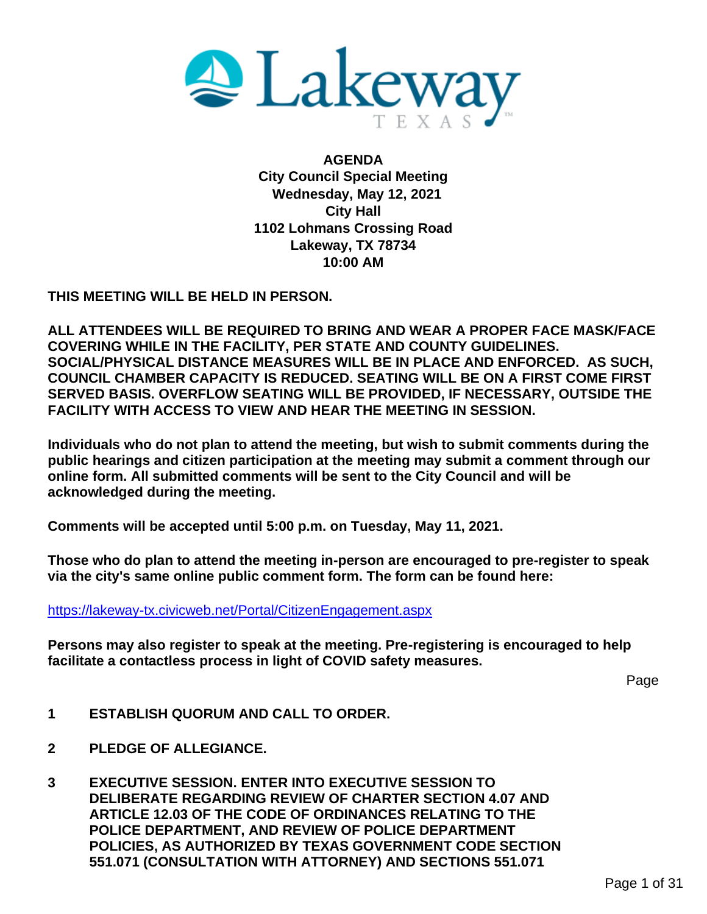

**AGENDA City Council Special Meeting Wednesday, May 12, 2021 City Hall 1102 Lohmans Crossing Road Lakeway, TX 78734 10:00 AM**

**THIS MEETING WILL BE HELD IN PERSON.**

**ALL ATTENDEES WILL BE REQUIRED TO BRING AND WEAR A PROPER FACE MASK/FACE COVERING WHILE IN THE FACILITY, PER STATE AND COUNTY GUIDELINES. SOCIAL/PHYSICAL DISTANCE MEASURES WILL BE IN PLACE AND ENFORCED. AS SUCH, COUNCIL CHAMBER CAPACITY IS REDUCED. SEATING WILL BE ON A FIRST COME FIRST SERVED BASIS. OVERFLOW SEATING WILL BE PROVIDED, IF NECESSARY, OUTSIDE THE FACILITY WITH ACCESS TO VIEW AND HEAR THE MEETING IN SESSION.** 

**Individuals who do not plan to attend the meeting, but wish to submit comments during the public hearings and citizen participation at the meeting may submit a comment through our online form. All submitted comments will be sent to the City Council and will be acknowledged during the meeting.**

**Comments will be accepted until 5:00 p.m. on Tuesday, May 11, 2021.**

**Those who do plan to attend the meeting in-person are encouraged to pre-register to speak via the city's same online public comment form. The form can be found here:**

<https://lakeway-tx.civicweb.net/Portal/CitizenEngagement.aspx>

**Persons may also register to speak at the meeting. Pre-registering is encouraged to help facilitate a contactless process in light of COVID safety measures.**

Page

- **1 ESTABLISH QUORUM AND CALL TO ORDER.**
- **2 PLEDGE OF ALLEGIANCE.**
- **3 EXECUTIVE SESSION. ENTER INTO EXECUTIVE SESSION TO DELIBERATE REGARDING REVIEW OF CHARTER SECTION 4.07 AND ARTICLE 12.03 OF THE CODE OF ORDINANCES RELATING TO THE POLICE DEPARTMENT, AND REVIEW OF POLICE DEPARTMENT POLICIES, AS AUTHORIZED BY TEXAS GOVERNMENT CODE SECTION 551.071 (CONSULTATION WITH ATTORNEY) AND SECTIONS 551.071**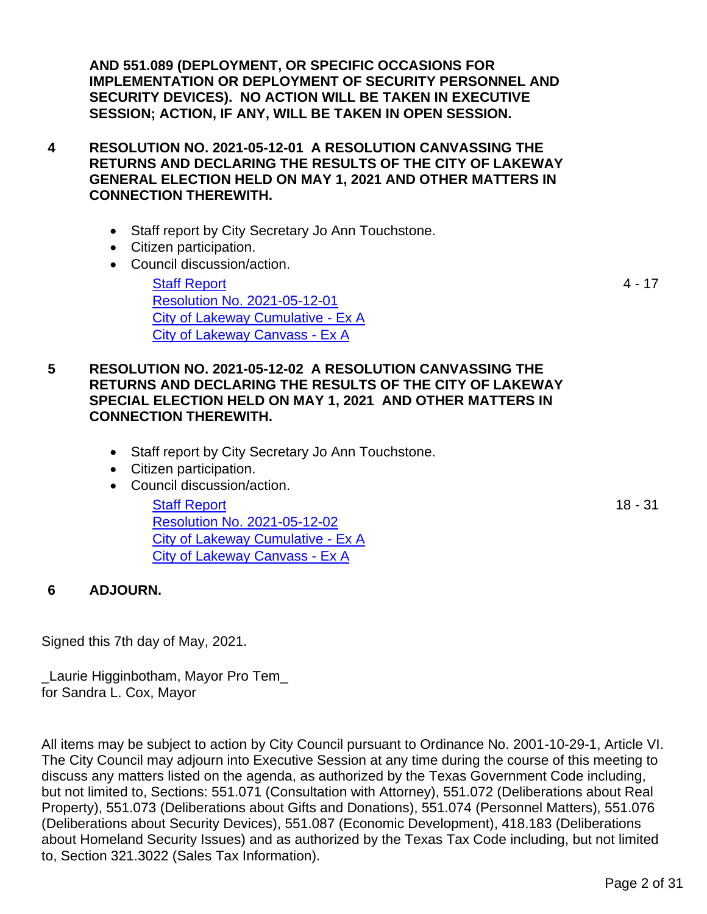**AND 551.089 (DEPLOYMENT, OR SPECIFIC OCCASIONS FOR IMPLEMENTATION OR DEPLOYMENT OF SECURITY PERSONNEL AND SECURITY DEVICES). NO ACTION WILL BE TAKEN IN EXECUTIVE SESSION; ACTION, IF ANY, WILL BE TAKEN IN OPEN SESSION.**

- **4 RESOLUTION NO. 2021-05-12-01 A RESOLUTION CANVASSING THE RETURNS AND DECLARING THE RESULTS OF THE CITY OF LAKEWAY GENERAL ELECTION HELD ON MAY 1, 2021 AND OTHER MATTERS IN CONNECTION THEREWITH.**
	- Staff report by City Secretary Jo Ann Touchstone.
	- Citizen participation.
	- Council discussion/action.

[Staff Report](#page-3-0) [Resolution No. 2021-05-12-01](#page-4-0) [City of Lakeway Cumulative -](#page-7-0) Ex A [City of Lakeway Canvass -](#page-9-0) Ex A

### **5 RESOLUTION NO. 2021-05-12-02 A RESOLUTION CANVASSING THE RETURNS AND DECLARING THE RESULTS OF THE CITY OF LAKEWAY SPECIAL ELECTION HELD ON MAY 1, 2021 AND OTHER MATTERS IN CONNECTION THEREWITH.**

- Staff report by City Secretary Jo Ann Touchstone.
- Citizen participation.
- Council discussion/action.

[Staff Report](#page-17-0) [Resolution No. 2021-05-12-02](#page-18-0) [City of Lakeway Cumulative -](#page-21-0) Ex A [City of Lakeway Canvass -](#page-23-0) Ex A

## **6 ADJOURN.**

Signed this 7th day of May, 2021.

\_Laurie Higginbotham, Mayor Pro Tem\_ for Sandra L. Cox, Mayor

All items may be subject to action by City Council pursuant to Ordinance No. 2001-10-29-1, Article VI. The City Council may adjourn into Executive Session at any time during the course of this meeting to discuss any matters listed on the agenda, as authorized by the Texas Government Code including, but not limited to, Sections: 551.071 (Consultation with Attorney), 551.072 (Deliberations about Real Property), 551.073 (Deliberations about Gifts and Donations), 551.074 (Personnel Matters), 551.076 (Deliberations about Security Devices), 551.087 (Economic Development), 418.183 (Deliberations about Homeland Security Issues) and as authorized by the Texas Tax Code including, but not limited to, Section 321.3022 (Sales Tax Information).

4 - 17

18 - 31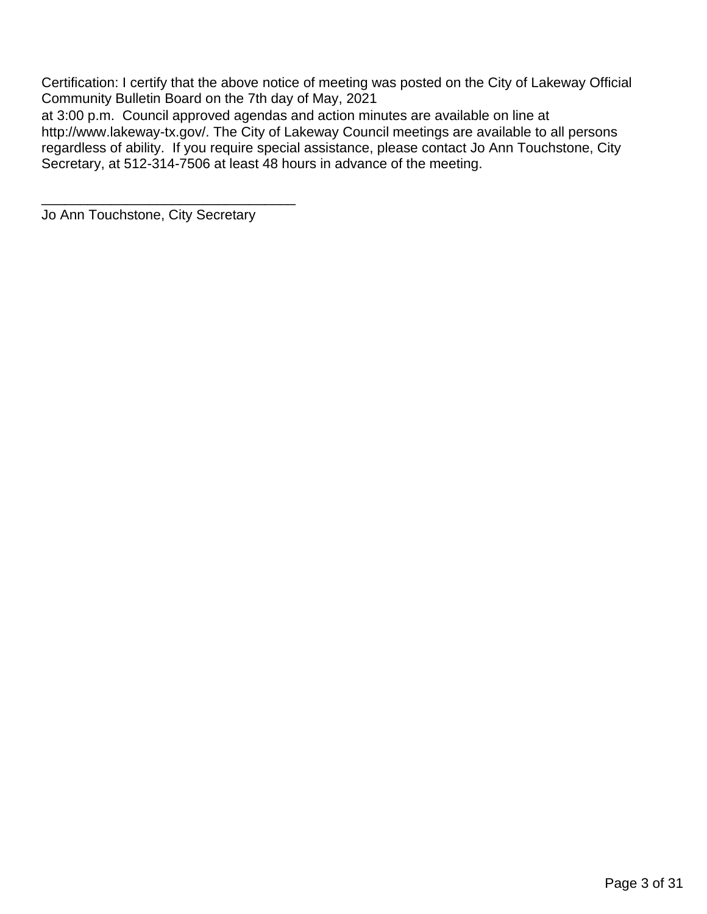Certification: I certify that the above notice of meeting was posted on the City of Lakeway Official Community Bulletin Board on the 7th day of May, 2021

at 3:00 p.m. Council approved agendas and action minutes are available on line at http://www.lakeway-tx.gov/. The City of Lakeway Council meetings are available to all persons regardless of ability. If you require special assistance, please contact Jo Ann Touchstone, City Secretary, at 512-314-7506 at least 48 hours in advance of the meeting.

Jo Ann Touchstone, City Secretary

\_\_\_\_\_\_\_\_\_\_\_\_\_\_\_\_\_\_\_\_\_\_\_\_\_\_\_\_\_\_\_\_\_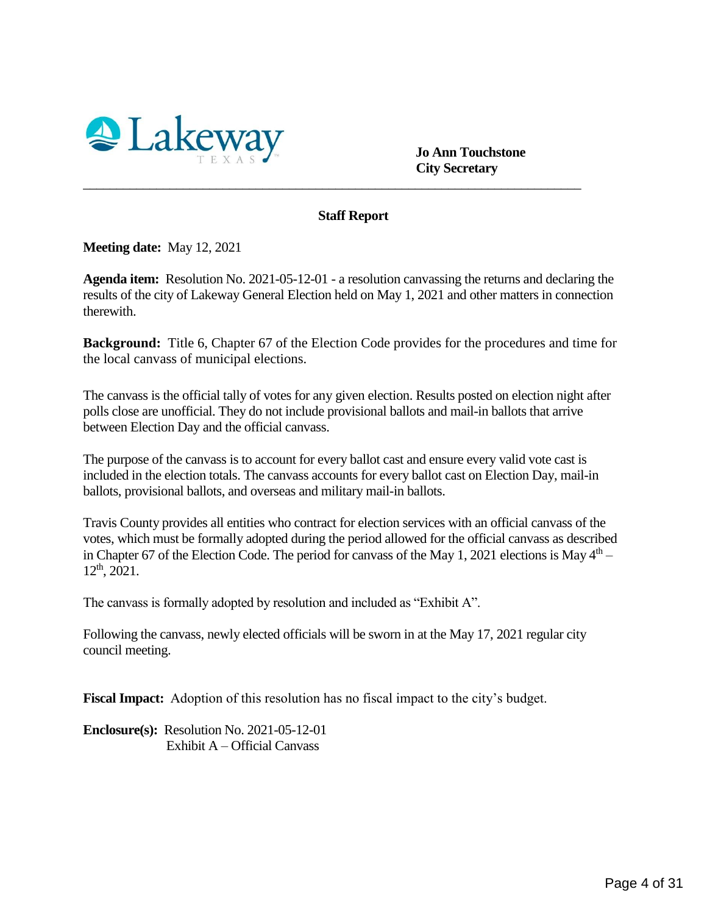<span id="page-3-0"></span>

 **Jo Ann Touchstone City Secretary**

#### **Staff Report**

\_\_\_\_\_\_\_\_\_\_\_\_\_\_\_\_\_\_\_\_\_\_\_\_\_\_\_\_\_\_\_\_\_\_\_\_\_\_\_\_\_\_\_\_\_\_\_\_\_\_\_\_\_\_\_\_\_\_\_\_\_\_\_\_\_\_\_\_\_\_\_\_\_\_\_

**Meeting date:** May 12, 2021

**Agenda item:** Resolution No. 2021-05-12-01 - a resolution canvassing the returns and declaring the results of the city of Lakeway General Election held on May 1, 2021 and other matters in connection therewith.

**Background:** Title 6, Chapter 67 of the Election Code provides for the procedures and time for the local canvass of municipal elections.

The canvass is the official tally of votes for any given election. Results posted on election night after polls close are unofficial. They do not include provisional ballots and mail-in ballots that arrive between Election Day and the official canvass.

The purpose of the canvass is to account for every ballot cast and ensure every valid vote cast is included in the election totals. The canvass accounts for every ballot cast on Election Day, mail-in ballots, provisional ballots, and overseas and military mail-in ballots.

Travis County provides all entities who contract for election services with an official canvass of the votes, which must be formally adopted during the period allowed for the official canvass as described in Chapter 67 of the Election Code. The period for canvass of the May 1, 2021 elections is May  $4<sup>th</sup>$  –  $12<sup>th</sup>$ , 2021.

The canvass is formally adopted by resolution and included as "Exhibit A".

Following the canvass, newly elected officials will be sworn in at the May 17, 2021 regular city council meeting.

**Fiscal Impact:** Adoption of this resolution has no fiscal impact to the city's budget.

**Enclosure(s):** Resolution No. 2021-05-12-01 Exhibit A – Official Canvass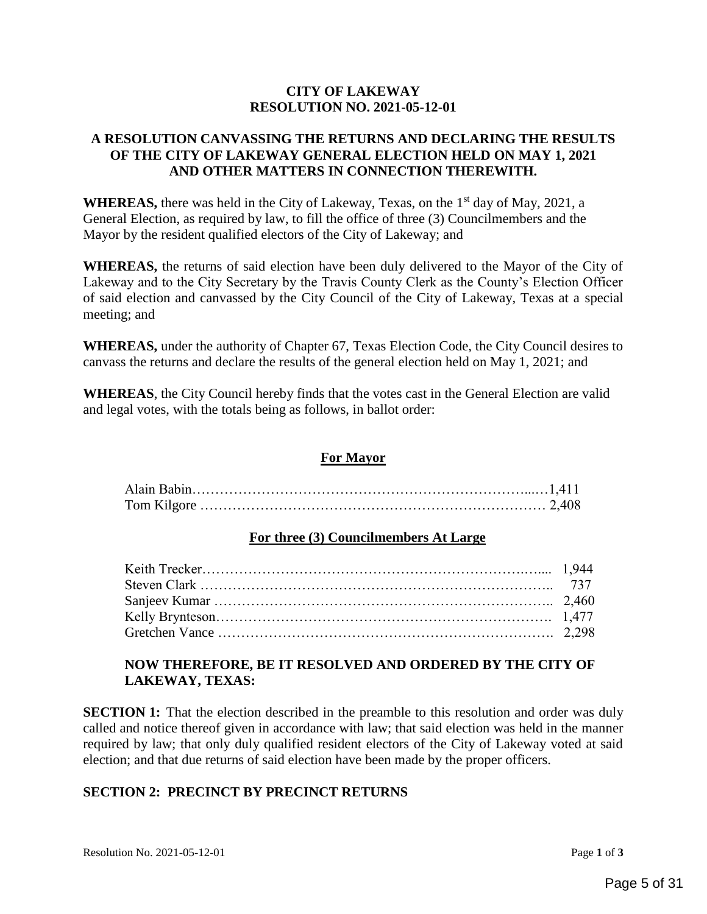#### **CITY OF LAKEWAY RESOLUTION NO. 2021-05-12-01**

#### <span id="page-4-0"></span>**A RESOLUTION CANVASSING THE RETURNS AND DECLARING THE RESULTS OF THE CITY OF LAKEWAY GENERAL ELECTION HELD ON MAY 1, 2021 AND OTHER MATTERS IN CONNECTION THEREWITH.**

**WHEREAS,** there was held in the City of Lakeway, Texas, on the 1<sup>st</sup> day of May, 2021, a General Election, as required by law, to fill the office of three (3) Councilmembers and the Mayor by the resident qualified electors of the City of Lakeway; and

**WHEREAS,** the returns of said election have been duly delivered to the Mayor of the City of Lakeway and to the City Secretary by the Travis County Clerk as the County's Election Officer of said election and canvassed by the City Council of the City of Lakeway, Texas at a special meeting; and

**WHEREAS,** under the authority of Chapter 67, Texas Election Code, the City Council desires to canvass the returns and declare the results of the general election held on May 1, 2021; and

**WHEREAS**, the City Council hereby finds that the votes cast in the General Election are valid and legal votes, with the totals being as follows, in ballot order:

#### **For Mayor**

#### **For three (3) Councilmembers At Large**

#### **NOW THEREFORE, BE IT RESOLVED AND ORDERED BY THE CITY OF LAKEWAY, TEXAS:**

**SECTION 1:** That the election described in the preamble to this resolution and order was duly called and notice thereof given in accordance with law; that said election was held in the manner required by law; that only duly qualified resident electors of the City of Lakeway voted at said election; and that due returns of said election have been made by the proper officers.

#### **SECTION 2: PRECINCT BY PRECINCT RETURNS**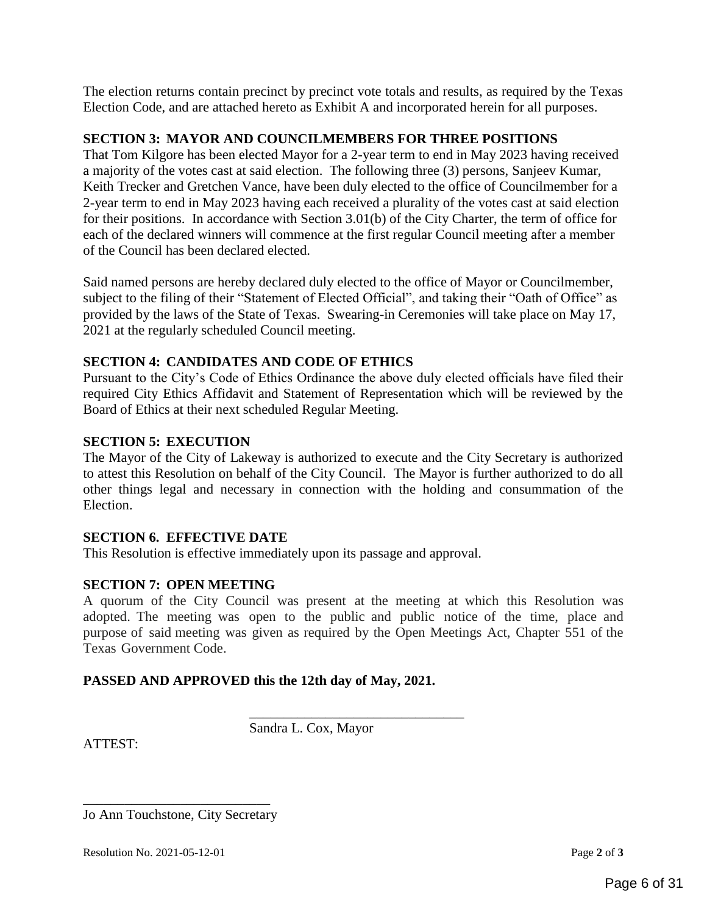The election returns contain precinct by precinct vote totals and results, as required by the Texas Election Code, and are attached hereto as Exhibit A and incorporated herein for all purposes.

#### **SECTION 3: MAYOR AND COUNCILMEMBERS FOR THREE POSITIONS**

That Tom Kilgore has been elected Mayor for a 2-year term to end in May 2023 having received a majority of the votes cast at said election. The following three (3) persons, Sanjeev Kumar, Keith Trecker and Gretchen Vance, have been duly elected to the office of Councilmember for a 2-year term to end in May 2023 having each received a plurality of the votes cast at said election for their positions. In accordance with Section 3.01(b) of the City Charter, the term of office for each of the declared winners will commence at the first regular Council meeting after a member of the Council has been declared elected.

Said named persons are hereby declared duly elected to the office of Mayor or Councilmember, subject to the filing of their "Statement of Elected Official", and taking their "Oath of Office" as provided by the laws of the State of Texas. Swearing-in Ceremonies will take place on May 17, 2021 at the regularly scheduled Council meeting.

#### **SECTION 4: CANDIDATES AND CODE OF ETHICS**

Pursuant to the City's Code of Ethics Ordinance the above duly elected officials have filed their required City Ethics Affidavit and Statement of Representation which will be reviewed by the Board of Ethics at their next scheduled Regular Meeting.

#### **SECTION 5: EXECUTION**

The Mayor of the City of Lakeway is authorized to execute and the City Secretary is authorized to attest this Resolution on behalf of the City Council. The Mayor is further authorized to do all other things legal and necessary in connection with the holding and consummation of the Election.

#### **SECTION 6. EFFECTIVE DATE**

This Resolution is effective immediately upon its passage and approval.

#### **SECTION 7: OPEN MEETING**

A quorum of the City Council was present at the meeting at which this Resolution was adopted. The meeting was open to the public and public notice of the time, place and purpose of said meeting was given as required by the Open Meetings Act, Chapter 551 of the Texas Government Code.

\_\_\_\_\_\_\_\_\_\_\_\_\_\_\_\_\_\_\_\_\_\_\_\_\_\_\_\_\_\_\_

#### **PASSED AND APPROVED this the 12th day of May, 2021.**

ATTEST:

Sandra L. Cox, Mayor

\_\_\_\_\_\_\_\_\_\_\_\_\_\_\_\_\_\_\_\_\_\_\_\_\_\_\_ Jo Ann Touchstone, City Secretary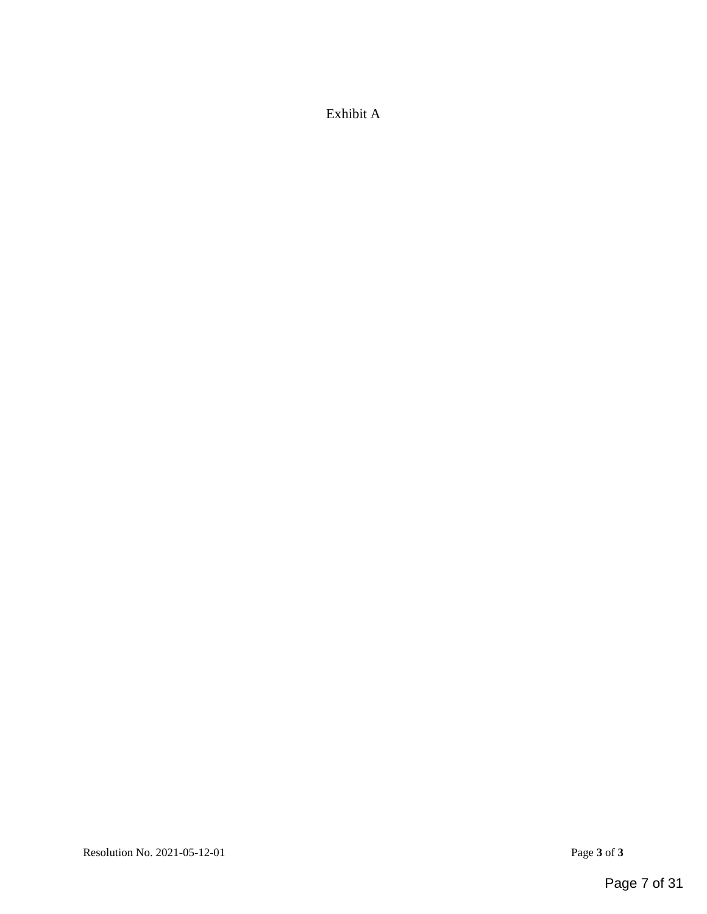Exhibit A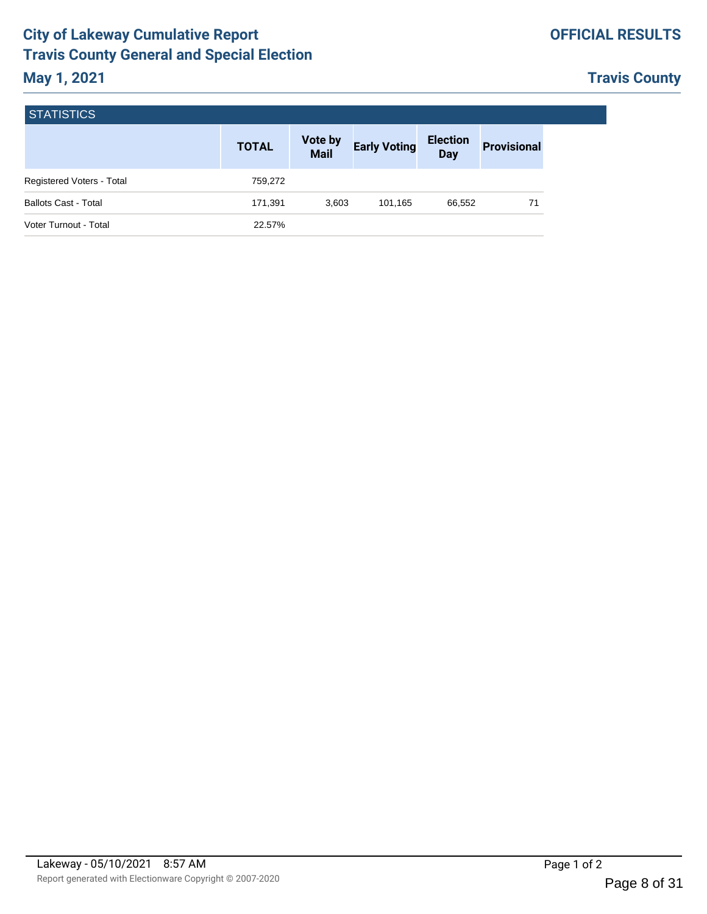## **OFFICIAL RESULTS**

# **Travis County**

<span id="page-7-0"></span>

| <b>STATISTICS</b>           |              |                        |                     |                               |                    |  |
|-----------------------------|--------------|------------------------|---------------------|-------------------------------|--------------------|--|
|                             | <b>TOTAL</b> | Vote by<br><b>Mail</b> | <b>Early Voting</b> | <b>Election</b><br><b>Day</b> | <b>Provisional</b> |  |
| Registered Voters - Total   | 759,272      |                        |                     |                               |                    |  |
| <b>Ballots Cast - Total</b> | 171,391      | 3,603                  | 101.165             | 66,552                        | 71                 |  |
| Voter Turnout - Total       | 22.57%       |                        |                     |                               |                    |  |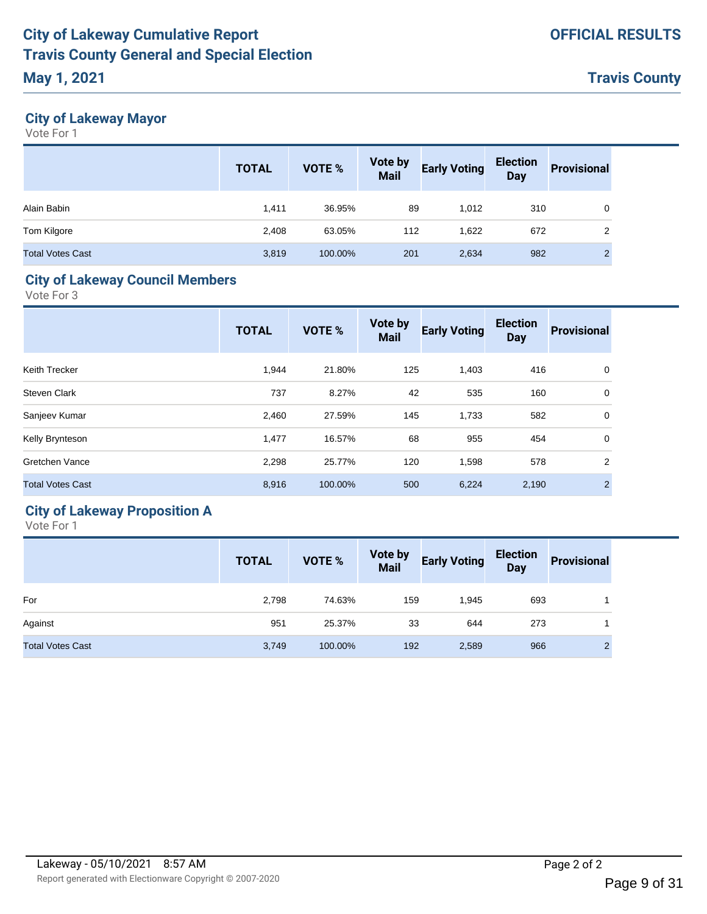# **May 1, 2021**

**Travis County**

## **City of Lakeway Mayor**

Vote For 1

|                         | <b>TOTAL</b> | VOTE %  | <b>Vote by<br/>Mail</b> | <b>Early Voting</b> | <b>Election</b><br><b>Day</b> | <b>Provisional</b> |
|-------------------------|--------------|---------|-------------------------|---------------------|-------------------------------|--------------------|
| Alain Babin             | 1,411        | 36.95%  | 89                      | 1,012               | 310                           | 0                  |
| Tom Kilgore             | 2.408        | 63.05%  | 112                     | 1,622               | 672                           | 2                  |
| <b>Total Votes Cast</b> | 3,819        | 100.00% | 201                     | 2,634               | 982                           | C                  |

## **City of Lakeway Council Members**

Vote For 3

|                         | <b>TOTAL</b> | <b>VOTE %</b> | <b>Vote by</b><br><b>Mail</b> | <b>Early Voting</b> | <b>Election</b><br><b>Day</b> | <b>Provisional</b> |
|-------------------------|--------------|---------------|-------------------------------|---------------------|-------------------------------|--------------------|
| Keith Trecker           | 1,944        | 21.80%        | 125                           | 1,403               | 416                           | 0                  |
| <b>Steven Clark</b>     | 737          | 8.27%         | 42                            | 535                 | 160                           | 0                  |
| Sanjeev Kumar           | 2,460        | 27.59%        | 145                           | 1,733               | 582                           | 0                  |
| Kelly Brynteson         | 1,477        | 16.57%        | 68                            | 955                 | 454                           | $\mathbf 0$        |
| Gretchen Vance          | 2,298        | 25.77%        | 120                           | 1,598               | 578                           | $\overline{2}$     |
| <b>Total Votes Cast</b> | 8,916        | 100.00%       | 500                           | 6,224               | 2,190                         | $\mathcal{P}$      |
|                         |              |               |                               |                     |                               |                    |

# **City of Lakeway Proposition A**

|                         | <b>TOTAL</b> | VOTE %  | <b>Vote by<br/>Mail</b> | <b>Early Voting</b> | Election<br>Day | <b>Provisional</b> |
|-------------------------|--------------|---------|-------------------------|---------------------|-----------------|--------------------|
| For                     | 2,798        | 74.63%  | 159                     | 1,945               | 693             |                    |
| Against                 | 951          | 25.37%  | 33                      | 644                 | 273             |                    |
| <b>Total Votes Cast</b> | 3,749        | 100.00% | 192                     | 2,589               | 966             | ົ                  |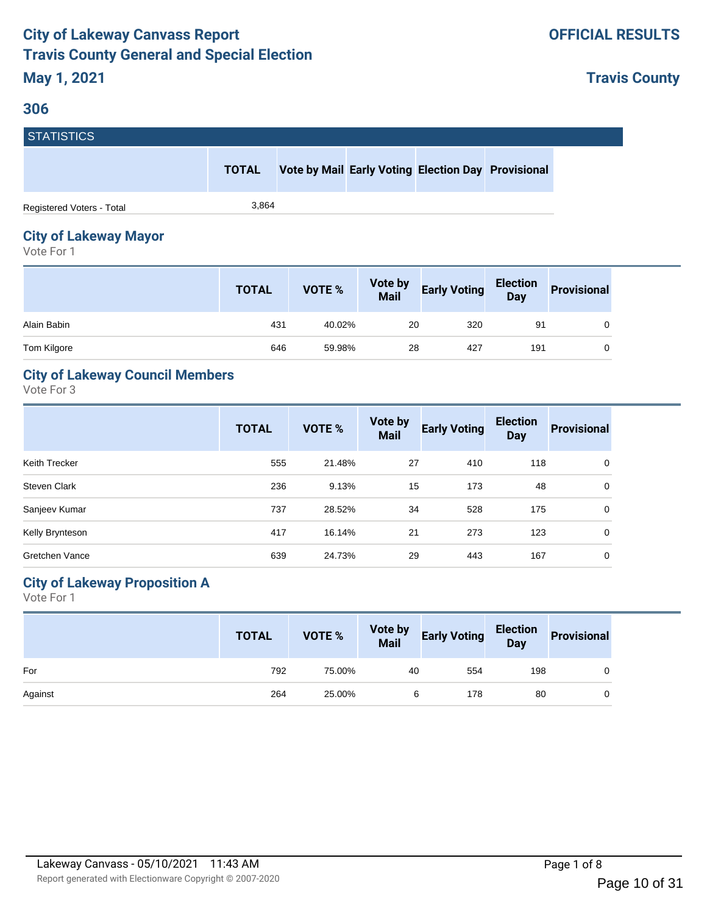#### <span id="page-9-0"></span>**306**

**Travis County**

| <b>STATISTICS</b>         |              |  |                                                    |  |
|---------------------------|--------------|--|----------------------------------------------------|--|
|                           | <b>TOTAL</b> |  | Vote by Mail Early Voting Election Day Provisional |  |
| Registered Voters - Total | 3.864        |  |                                                    |  |

# **City of Lakeway Mayor**

Vote For 1

|             | <b>TOTAL</b> | <b>VOTE %</b> | <b>Vote by<br/>Mail</b> | <b>Early Voting</b> | <b>Election</b><br>Day | <b>Provisional</b> |
|-------------|--------------|---------------|-------------------------|---------------------|------------------------|--------------------|
| Alain Babin | 431          | 40.02%        | 20                      | 320                 | 91                     |                    |
| Tom Kilgore | 646          | 59.98%        | 28                      | 427                 | 191                    |                    |

## **City of Lakeway Council Members**

Vote For 3

|                     | <b>TOTAL</b> | <b>VOTE %</b> | Vote by<br><b>Mail</b> | <b>Early Voting</b> | <b>Election</b><br><b>Day</b> | <b>Provisional</b> |
|---------------------|--------------|---------------|------------------------|---------------------|-------------------------------|--------------------|
| Keith Trecker       | 555          | 21.48%        | 27                     | 410                 | 118                           | 0                  |
| <b>Steven Clark</b> | 236          | 9.13%         | 15                     | 173                 | 48                            | 0                  |
| Sanjeev Kumar       | 737          | 28.52%        | 34                     | 528                 | 175                           | $\Omega$           |
| Kelly Brynteson     | 417          | 16.14%        | 21                     | 273                 | 123                           | 0                  |
| Gretchen Vance      | 639          | 24.73%        | 29                     | 443                 | 167                           | 0                  |

## **City of Lakeway Proposition A**

|         | <b>TOTAL</b> | VOTE % |    | Vote by Early Voting Election Provisional |     |  |
|---------|--------------|--------|----|-------------------------------------------|-----|--|
| For     | 792          | 75.00% | 40 | 554                                       | 198 |  |
| Against | 264          | 25.00% | 6  | 178                                       | 80  |  |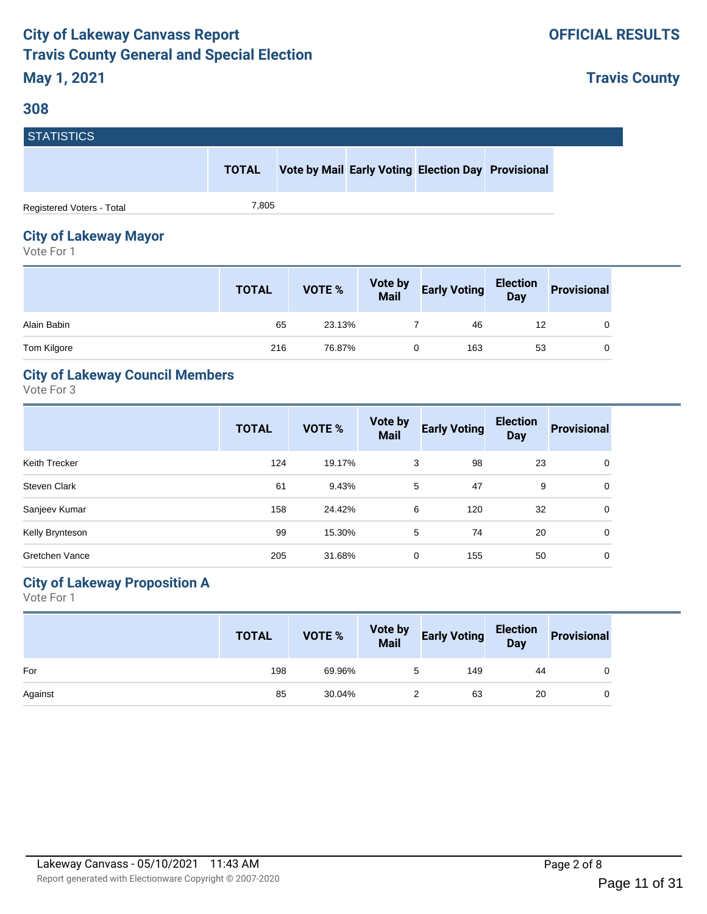#### **308**

**Travis County**

| <b>STATISTICS</b>         |              |  |                                                    |  |
|---------------------------|--------------|--|----------------------------------------------------|--|
|                           | <b>TOTAL</b> |  | Vote by Mail Early Voting Election Day Provisional |  |
| Registered Voters - Total | 7,805        |  |                                                    |  |

## **City of Lakeway Mayor**

Vote For 1

|             | <b>TOTAL</b> | <b>VOTE %</b> | <b>Vote by<br/>Mail</b> | <b>Early Voting</b> | Election<br>Day | <b>Provisional</b> |
|-------------|--------------|---------------|-------------------------|---------------------|-----------------|--------------------|
| Alain Babin | 65           | 23.13%        |                         | 46                  | 12              |                    |
| Tom Kilgore | 216          | 76.87%        |                         | 163                 | 53              |                    |

## **City of Lakeway Council Members**

Vote For 3

|                       | <b>TOTAL</b> | <b>VOTE %</b> | Vote by<br><b>Mail</b> | <b>Early Voting</b> | <b>Election</b><br><b>Day</b> | <b>Provisional</b> |
|-----------------------|--------------|---------------|------------------------|---------------------|-------------------------------|--------------------|
| Keith Trecker         | 124          | 19.17%        | 3                      | 98                  | 23                            | 0                  |
| <b>Steven Clark</b>   | 61           | 9.43%         | 5                      | 47                  | 9                             | 0                  |
| Sanjeev Kumar         | 158          | 24.42%        | 6                      | 120                 | 32                            | 0                  |
| Kelly Brynteson       | 99           | 15.30%        | 5                      | 74                  | 20                            | 0                  |
| <b>Gretchen Vance</b> | 205          | 31.68%        | 0                      | 155                 | 50                            | 0                  |

## **City of Lakeway Proposition A**

|         | <b>TOTAL</b> | VOTE % | Vote by Early Voting Election Provisional |    |  |
|---------|--------------|--------|-------------------------------------------|----|--|
| For     | 198          | 69.96% | 149                                       | 44 |  |
| Against | 85           | 30.04% | 63                                        | 20 |  |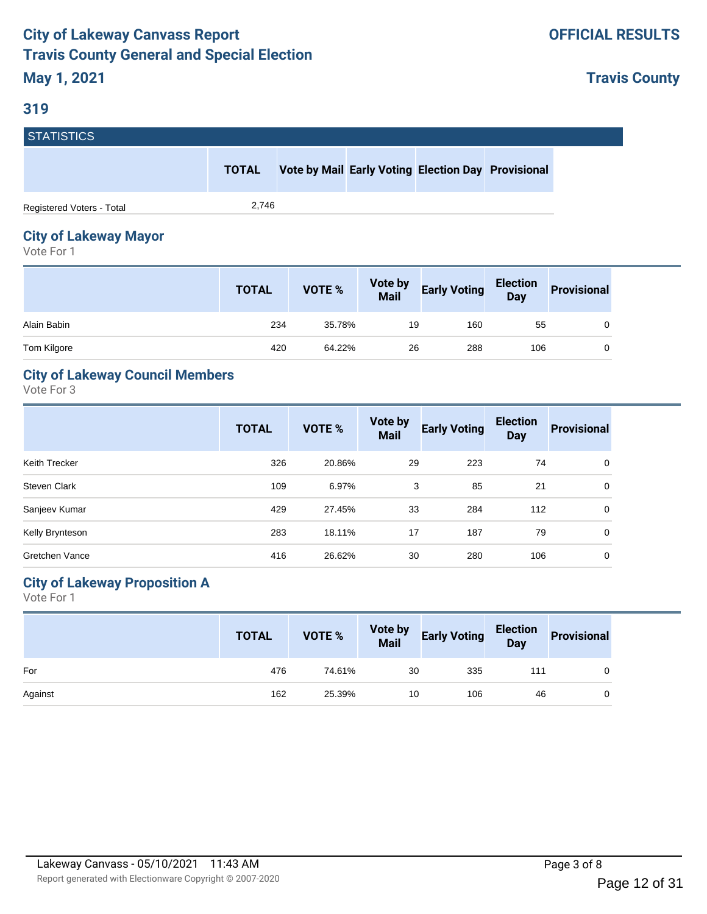**Travis County**

# **STATISTICS**

|                           | <b>TOTAL</b> | <b>Vote by Mail Early Voting Election Day Provisional</b> |  |  |
|---------------------------|--------------|-----------------------------------------------------------|--|--|
| Registered Voters - Total | 2.746        |                                                           |  |  |

## **City of Lakeway Mayor**

Vote For 1

|             | <b>TOTAL</b> | VOTE % | <b>Vote by<br/>Mail</b> | <b>Early Voting</b> | <b>Election</b><br>Day | <b>Provisional</b> |
|-------------|--------------|--------|-------------------------|---------------------|------------------------|--------------------|
| Alain Babin | 234          | 35.78% | 19                      | 160                 | 55                     |                    |
| Tom Kilgore | 420          | 64.22% | 26                      | 288                 | 106                    |                    |

## **City of Lakeway Council Members**

Vote For 3

|                 | <b>TOTAL</b> | <b>VOTE %</b> | Vote by<br><b>Mail</b> | <b>Early Voting</b> | <b>Election</b><br><b>Day</b> | <b>Provisional</b> |
|-----------------|--------------|---------------|------------------------|---------------------|-------------------------------|--------------------|
| Keith Trecker   | 326          | 20.86%        | 29                     | 223                 | 74                            | 0                  |
| Steven Clark    | 109          | 6.97%         | 3                      | 85                  | 21                            | 0                  |
| Sanjeev Kumar   | 429          | 27.45%        | 33                     | 284                 | 112                           | 0                  |
| Kelly Brynteson | 283          | 18.11%        | 17                     | 187                 | 79                            | 0                  |
| Gretchen Vance  | 416          | 26.62%        | 30                     | 280                 | 106                           | 0                  |

## **City of Lakeway Proposition A**

|         | <b>TOTAL</b> | VOTE % |    | Vote by Early Voting Election |     | Provisional |
|---------|--------------|--------|----|-------------------------------|-----|-------------|
| For     | 476          | 74.61% | 30 | 335                           | 111 |             |
| Against | 162          | 25.39% | 10 | 106                           | 46  |             |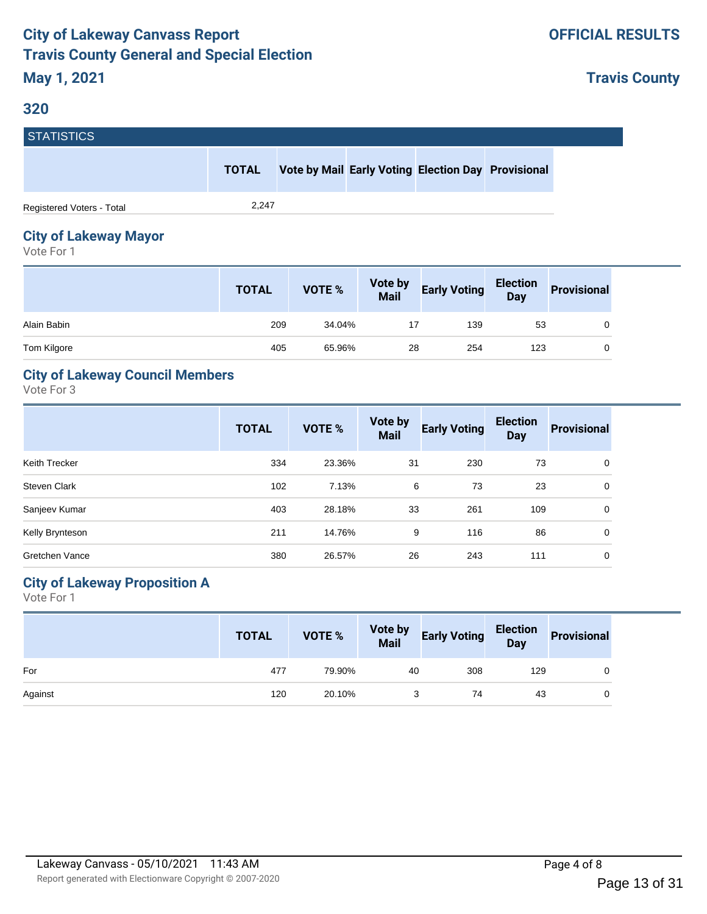#### **320**

**Travis County**

| STATISTICS <sup>1</sup>   |              |  |                                                    |  |
|---------------------------|--------------|--|----------------------------------------------------|--|
|                           | <b>TOTAL</b> |  | Vote by Mail Early Voting Election Day Provisional |  |
| Registered Voters - Total | 2.247        |  |                                                    |  |

## **City of Lakeway Mayor**

Vote For 1

|             | <b>TOTAL</b> | <b>VOTE %</b> | <b>Vote by<br/>Mail</b> | <b>Early Voting</b> | <b>Election</b><br>Day | <b>Provisional</b> |
|-------------|--------------|---------------|-------------------------|---------------------|------------------------|--------------------|
| Alain Babin | 209          | 34.04%        |                         | 139                 | 53                     |                    |
| Tom Kilgore | 405          | 65.96%        | 28                      | 254                 | 123                    |                    |

## **City of Lakeway Council Members**

Vote For 3

|                     | <b>TOTAL</b> | <b>VOTE %</b> | Vote by<br><b>Mail</b> | <b>Early Voting</b> | <b>Election</b><br><b>Day</b> | <b>Provisional</b> |
|---------------------|--------------|---------------|------------------------|---------------------|-------------------------------|--------------------|
| Keith Trecker       | 334          | 23.36%        | 31                     | 230                 | 73                            | 0                  |
| <b>Steven Clark</b> | 102          | 7.13%         | 6                      | 73                  | 23                            | 0                  |
| Sanjeev Kumar       | 403          | 28.18%        | 33                     | 261                 | 109                           | $\Omega$           |
| Kelly Brynteson     | 211          | 14.76%        | 9                      | 116                 | 86                            | 0                  |
| Gretchen Vance      | 380          | 26.57%        | 26                     | 243                 | 111                           | 0                  |

## **City of Lakeway Proposition A**

|         | <b>TOTAL</b> | VOTE % |    | Vote by Early Voting Election Provisional |     |   |
|---------|--------------|--------|----|-------------------------------------------|-----|---|
| For     | 477          | 79.90% | 40 | 308                                       | 129 |   |
| Against | 120          | 20.10% |    | 74                                        | 43  | 0 |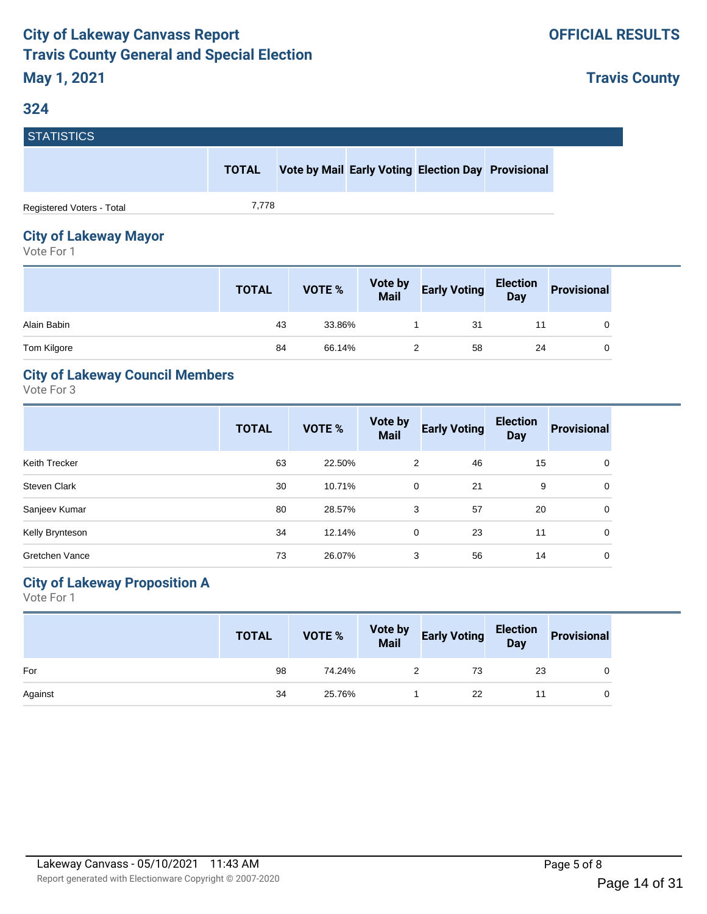**Travis County**

# **STATISTICS**

| --------------            |              |                                                    |  |  |
|---------------------------|--------------|----------------------------------------------------|--|--|
|                           | <b>TOTAL</b> | Vote by Mail Early Voting Election Day Provisional |  |  |
| Registered Voters - Total | 7.778        |                                                    |  |  |

## **City of Lakeway Mayor**

Vote For 1

|             | <b>TOTAL</b> | <b>VOTE %</b> | <b>Vote by<br/>Mail</b> | <b>Early Voting</b> | Election<br>Day | <b>Provisional</b> |
|-------------|--------------|---------------|-------------------------|---------------------|-----------------|--------------------|
| Alain Babin | 43           | 33.86%        |                         | 31                  |                 |                    |
| Tom Kilgore | 84           | 66.14%        |                         | 58                  | 24              |                    |

## **City of Lakeway Council Members**

Vote For 3

|                     | <b>TOTAL</b> | <b>VOTE %</b> | Vote by<br><b>Mail</b> | <b>Early Voting</b> | <b>Election</b><br><b>Day</b> | <b>Provisional</b> |
|---------------------|--------------|---------------|------------------------|---------------------|-------------------------------|--------------------|
| Keith Trecker       | 63           | 22.50%        | 2                      | 46                  | 15                            | 0                  |
| <b>Steven Clark</b> | 30           | 10.71%        | 0                      | 21                  | 9                             | 0                  |
| Sanjeev Kumar       | 80           | 28.57%        | 3                      | 57                  | 20                            | 0                  |
| Kelly Brynteson     | 34           | 12.14%        | 0                      | 23                  | 11                            | 0                  |
| Gretchen Vance      | 73           | 26.07%        | 3                      | 56                  | 14                            | 0                  |

## **City of Lakeway Proposition A**

|         | <b>TOTAL</b> | VOTE % | Vote by Early Voting Election Provisional |    |  |
|---------|--------------|--------|-------------------------------------------|----|--|
| For     | 98           | 74.24% | 73                                        | 23 |  |
| Against | 34           | 25.76% | 22                                        |    |  |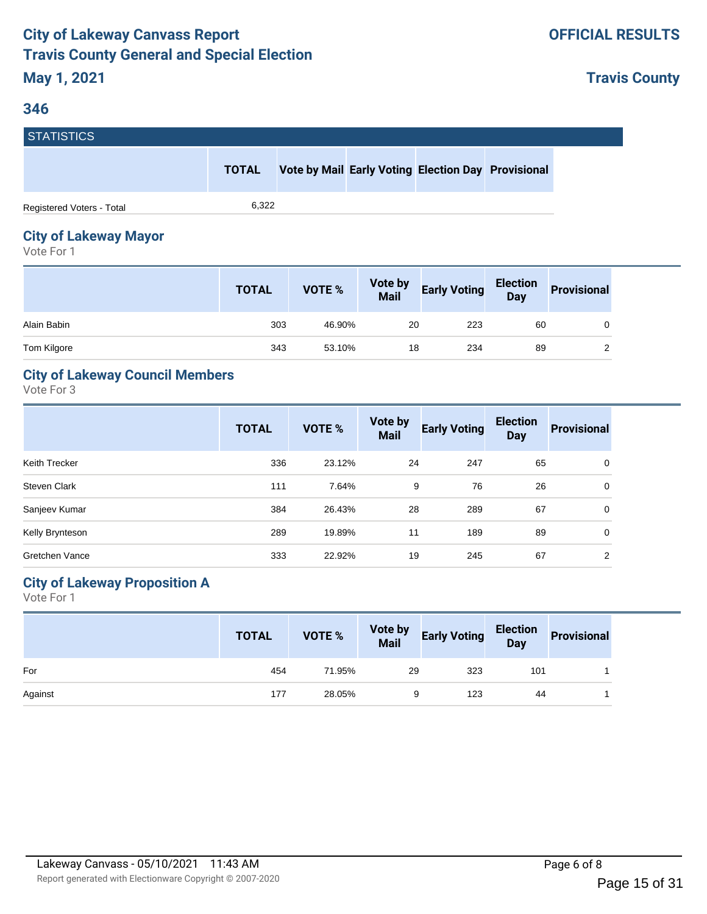**Travis County**

# **STATISTICS**

**TOTAL Vote by Mail Early Voting Election Day Provisional**

Registered Voters - Total 6,322

# **City of Lakeway Mayor**

Vote For 1

|             | <b>TOTAL</b> | <b>VOTE %</b> | <b>Vote by<br/>Mail</b> | <b>Early Voting</b> | <b>Election</b><br>Day | <b>Provisional</b> |
|-------------|--------------|---------------|-------------------------|---------------------|------------------------|--------------------|
| Alain Babin | 303          | 46.90%        | 20                      | 223                 | 60                     |                    |
| Tom Kilgore | 343          | 53.10%        | 18                      | 234                 | 89                     |                    |

## **City of Lakeway Council Members**

Vote For 3

|                       | <b>TOTAL</b> | <b>VOTE %</b> | Vote by<br><b>Mail</b> | <b>Early Voting</b> | <b>Election</b><br><b>Day</b> | <b>Provisional</b> |
|-----------------------|--------------|---------------|------------------------|---------------------|-------------------------------|--------------------|
| Keith Trecker         | 336          | 23.12%        | 24                     | 247                 | 65                            | 0                  |
| Steven Clark          | 111          | 7.64%         | 9                      | 76                  | 26                            | 0                  |
| Sanjeev Kumar         | 384          | 26.43%        | 28                     | 289                 | 67                            | $\Omega$           |
| Kelly Brynteson       | 289          | 19.89%        | 11                     | 189                 | 89                            | 0                  |
| <b>Gretchen Vance</b> | 333          | 22.92%        | 19                     | 245                 | 67                            | 2                  |

## **City of Lakeway Proposition A**

| <b>TOTAL</b> | VOTE % |     |     | Provisional                                            |
|--------------|--------|-----|-----|--------------------------------------------------------|
| 454          | 71.95% | 323 | 101 |                                                        |
| 177          | 28.05% | 123 | 44  |                                                        |
|              |        |     | 29  | Vote by Early Voting Election<br>Mail Early Voting Day |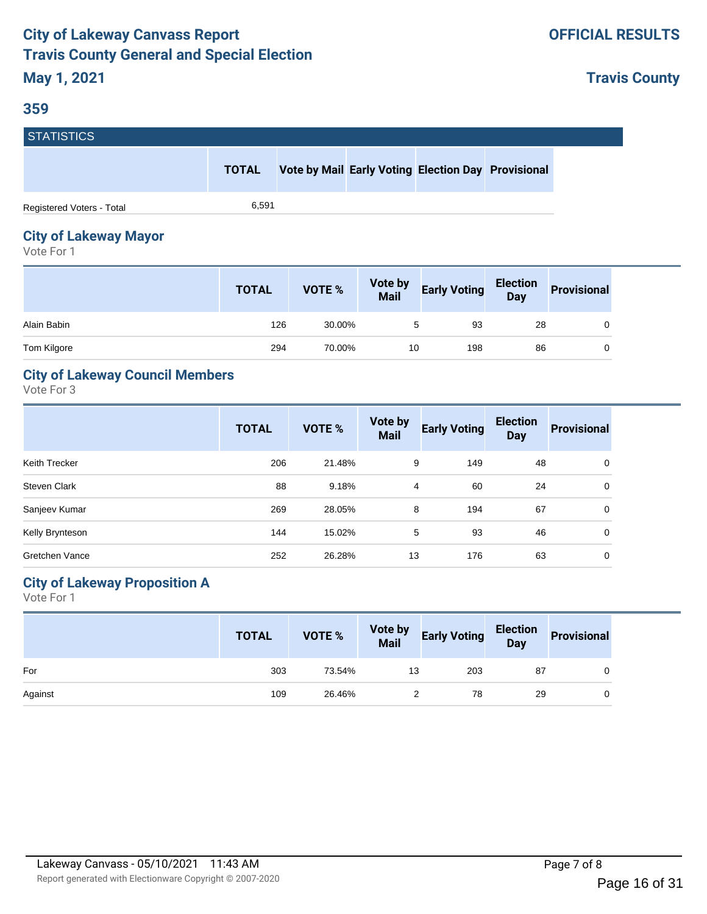#### **359**

**Travis County**

| <b>STATISTICS</b>         |              |                                                    |  |  |
|---------------------------|--------------|----------------------------------------------------|--|--|
|                           | <b>TOTAL</b> | Vote by Mail Early Voting Election Day Provisional |  |  |
| Registered Voters - Total | 6.591        |                                                    |  |  |

# **City of Lakeway Mayor**

Vote For 1

|             | <b>TOTAL</b> | <b>VOTE %</b> | <b>Vote by<br/>Mail</b> | <b>Early Voting</b> | Election<br>Day | <b>Provisional</b> |
|-------------|--------------|---------------|-------------------------|---------------------|-----------------|--------------------|
| Alain Babin | 126          | 30.00%        | $5^{\circ}$             | 93                  | 28              | 0                  |
| Tom Kilgore | 294          | 70.00%        | 10                      | 198                 | 86              | 0                  |

## **City of Lakeway Council Members**

Vote For 3

|                     | <b>TOTAL</b> | <b>VOTE %</b> | Vote by<br><b>Mail</b> | <b>Early Voting</b> | <b>Election</b><br><b>Day</b> | <b>Provisional</b> |
|---------------------|--------------|---------------|------------------------|---------------------|-------------------------------|--------------------|
| Keith Trecker       | 206          | 21.48%        | 9                      | 149                 | 48                            | 0                  |
| <b>Steven Clark</b> | 88           | 9.18%         | $\overline{4}$         | 60                  | 24                            | 0                  |
| Sanjeev Kumar       | 269          | 28.05%        | 8                      | 194                 | 67                            | 0                  |
| Kelly Brynteson     | 144          | 15.02%        | 5                      | 93                  | 46                            | 0                  |
| Gretchen Vance      | 252          | 26.28%        | 13                     | 176                 | 63                            | 0                  |

## **City of Lakeway Proposition A**

|         | <b>TOTAL</b> |        |    | VOTE % Vote by Early Voting Election Provisional |    |  |
|---------|--------------|--------|----|--------------------------------------------------|----|--|
| For     | 303          | 73.54% | 13 | 203                                              | 87 |  |
| Against | 109          | 26.46% |    | 78                                               | 29 |  |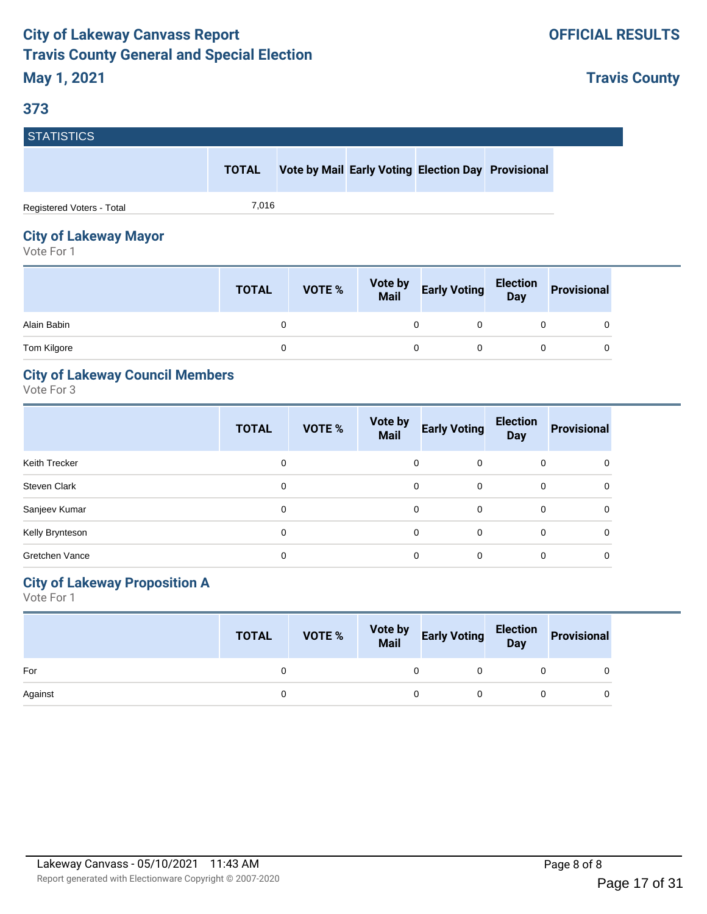## **373**

**Travis County**

| <b>STATISTICS</b>         |              |  |                                                    |  |
|---------------------------|--------------|--|----------------------------------------------------|--|
|                           | <b>TOTAL</b> |  | Vote by Mail Early Voting Election Day Provisional |  |
| Registered Voters - Total | 7.016        |  |                                                    |  |

# **City of Lakeway Mayor**

Vote For 1

|             | <b>TOTAL</b> | VOTE % | <b>Vote by<br/>Mail</b> | <b>Early Voting</b> | Election<br>Day | <b>Provisional</b> |
|-------------|--------------|--------|-------------------------|---------------------|-----------------|--------------------|
| Alain Babin | 0            |        |                         |                     |                 |                    |
| Tom Kilgore | 0            |        |                         |                     |                 |                    |

## **City of Lakeway Council Members**

Vote For 3

|                       | <b>TOTAL</b> | VOTE % | Vote by<br><b>Mail</b> | <b>Early Voting</b> | <b>Election</b><br><b>Day</b> | <b>Provisional</b> |
|-----------------------|--------------|--------|------------------------|---------------------|-------------------------------|--------------------|
| Keith Trecker         | 0            |        | 0                      | 0                   | 0                             | 0                  |
| Steven Clark          | 0            |        | $\Omega$               | $\Omega$            | $\mathbf 0$                   | 0                  |
| Sanjeev Kumar         | 0            |        | $\Omega$               | $\Omega$            | $\Omega$                      | 0                  |
| Kelly Brynteson       | 0            |        | $\Omega$               | 0                   | $\mathbf 0$                   | $\Omega$           |
| <b>Gretchen Vance</b> | 0            |        | 0                      | 0                   | 0                             | 0                  |

## **City of Lakeway Proposition A**

|         | <b>TOTAL</b> |  | VOTE % Vote by Early Voting Election Provisional |  |
|---------|--------------|--|--------------------------------------------------|--|
| For     |              |  |                                                  |  |
| Against |              |  |                                                  |  |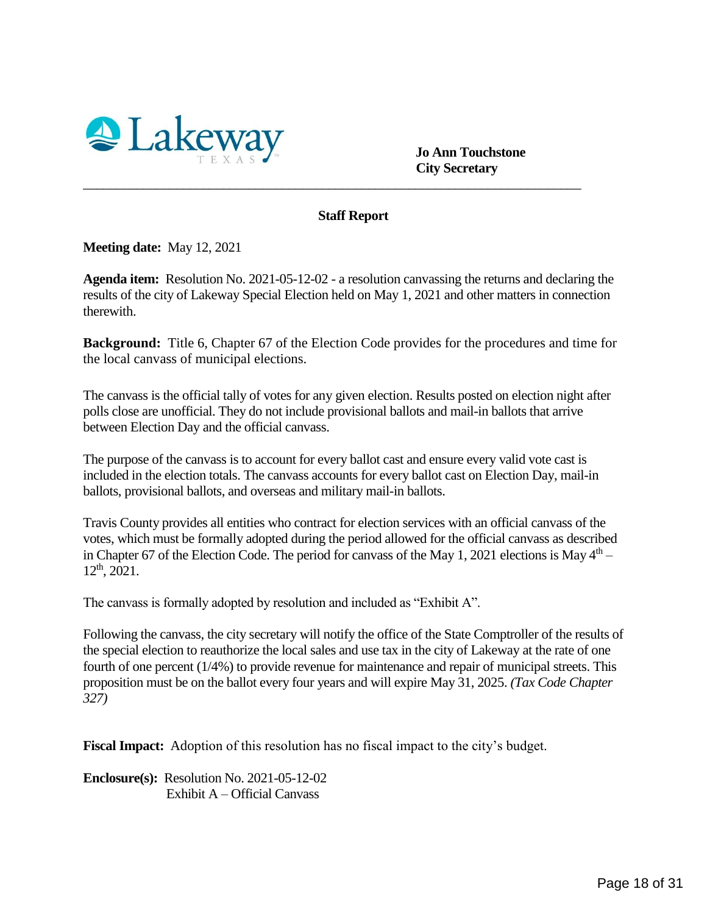<span id="page-17-0"></span>

 **Jo Ann Touchstone City Secretary**

#### **Staff Report**

\_\_\_\_\_\_\_\_\_\_\_\_\_\_\_\_\_\_\_\_\_\_\_\_\_\_\_\_\_\_\_\_\_\_\_\_\_\_\_\_\_\_\_\_\_\_\_\_\_\_\_\_\_\_\_\_\_\_\_\_\_\_\_\_\_\_\_\_\_\_\_\_\_\_\_

**Meeting date:** May 12, 2021

**Agenda item:** Resolution No. 2021-05-12-02 - a resolution canvassing the returns and declaring the results of the city of Lakeway Special Election held on May 1, 2021 and other matters in connection therewith.

**Background:** Title 6, Chapter 67 of the Election Code provides for the procedures and time for the local canvass of municipal elections.

The canvass is the official tally of votes for any given election. Results posted on election night after polls close are unofficial. They do not include provisional ballots and mail-in ballots that arrive between Election Day and the official canvass.

The purpose of the canvass is to account for every ballot cast and ensure every valid vote cast is included in the election totals. The canvass accounts for every ballot cast on Election Day, mail-in ballots, provisional ballots, and overseas and military mail-in ballots.

Travis County provides all entities who contract for election services with an official canvass of the votes, which must be formally adopted during the period allowed for the official canvass as described in Chapter 67 of the Election Code. The period for canvass of the May 1, 2021 elections is May  $4<sup>th</sup>$  –  $12<sup>th</sup>$ , 2021.

The canvass is formally adopted by resolution and included as "Exhibit A".

Following the canvass, the city secretary will notify the office of the State Comptroller of the results of the special election to reauthorize the local sales and use tax in the city of Lakeway at the rate of one fourth of one percent (1/4%) to provide revenue for maintenance and repair of municipal streets. This proposition must be on the ballot every four years and will expire May 31, 2025. *(Tax Code Chapter 327)*

**Fiscal Impact:** Adoption of this resolution has no fiscal impact to the city's budget.

**Enclosure(s):** Resolution No. 2021-05-12-02 Exhibit A – Official Canvass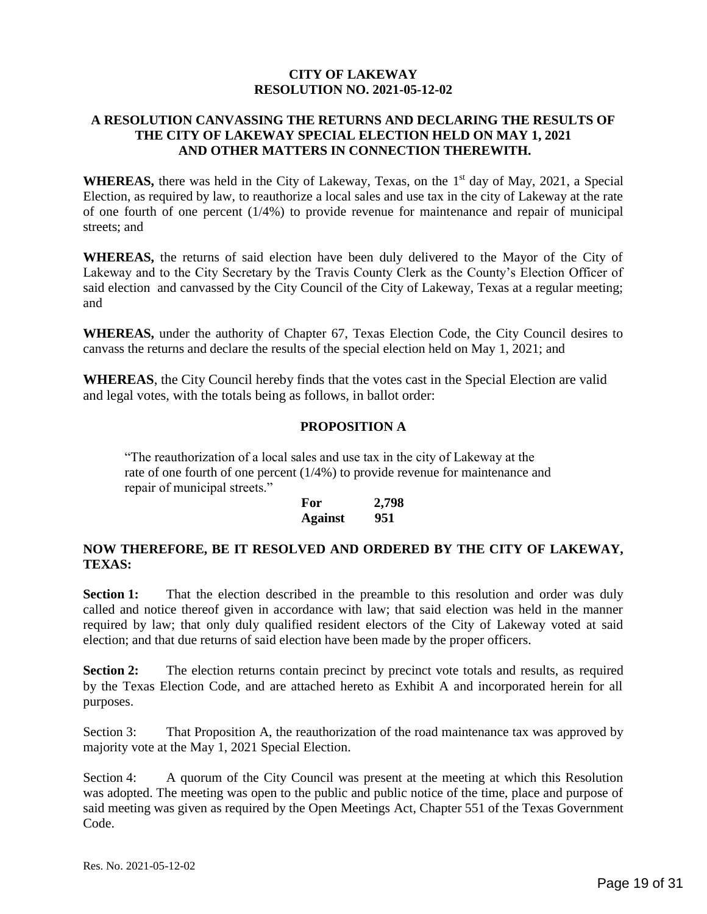#### **CITY OF LAKEWAY RESOLUTION NO. 2021-05-12-02**

#### <span id="page-18-0"></span>**A RESOLUTION CANVASSING THE RETURNS AND DECLARING THE RESULTS OF THE CITY OF LAKEWAY SPECIAL ELECTION HELD ON MAY 1, 2021 AND OTHER MATTERS IN CONNECTION THEREWITH.**

WHEREAS, there was held in the City of Lakeway, Texas, on the 1<sup>st</sup> day of May, 2021, a Special Election, as required by law, to reauthorize a local sales and use tax in the city of Lakeway at the rate of one fourth of one percent  $(1/4%)$  to provide revenue for maintenance and repair of municipal streets; and

**WHEREAS,** the returns of said election have been duly delivered to the Mayor of the City of Lakeway and to the City Secretary by the Travis County Clerk as the County's Election Officer of said election and canvassed by the City Council of the City of Lakeway, Texas at a regular meeting; and

**WHEREAS,** under the authority of Chapter 67, Texas Election Code, the City Council desires to canvass the returns and declare the results of the special election held on May 1, 2021; and

**WHEREAS**, the City Council hereby finds that the votes cast in the Special Election are valid and legal votes, with the totals being as follows, in ballot order:

#### **PROPOSITION A**

"The reauthorization of a local sales and use tax in the city of Lakeway at the rate of one fourth of one percent (1/4%) to provide revenue for maintenance and repair of municipal streets."

| For            | 2,798 |
|----------------|-------|
| <b>Against</b> | 951   |

#### **NOW THEREFORE, BE IT RESOLVED AND ORDERED BY THE CITY OF LAKEWAY, TEXAS:**

**Section 1:** That the election described in the preamble to this resolution and order was duly called and notice thereof given in accordance with law; that said election was held in the manner required by law; that only duly qualified resident electors of the City of Lakeway voted at said election; and that due returns of said election have been made by the proper officers.

**Section 2:** The election returns contain precinct by precinct vote totals and results, as required by the Texas Election Code, and are attached hereto as Exhibit A and incorporated herein for all purposes.

Section 3: That Proposition A, the reauthorization of the road maintenance tax was approved by majority vote at the May 1, 2021 Special Election.

Section 4: A quorum of the City Council was present at the meeting at which this Resolution was adopted. The meeting was open to the public and public notice of the time, place and purpose of said meeting was given as required by the Open Meetings Act, Chapter 551 of the Texas Government Code.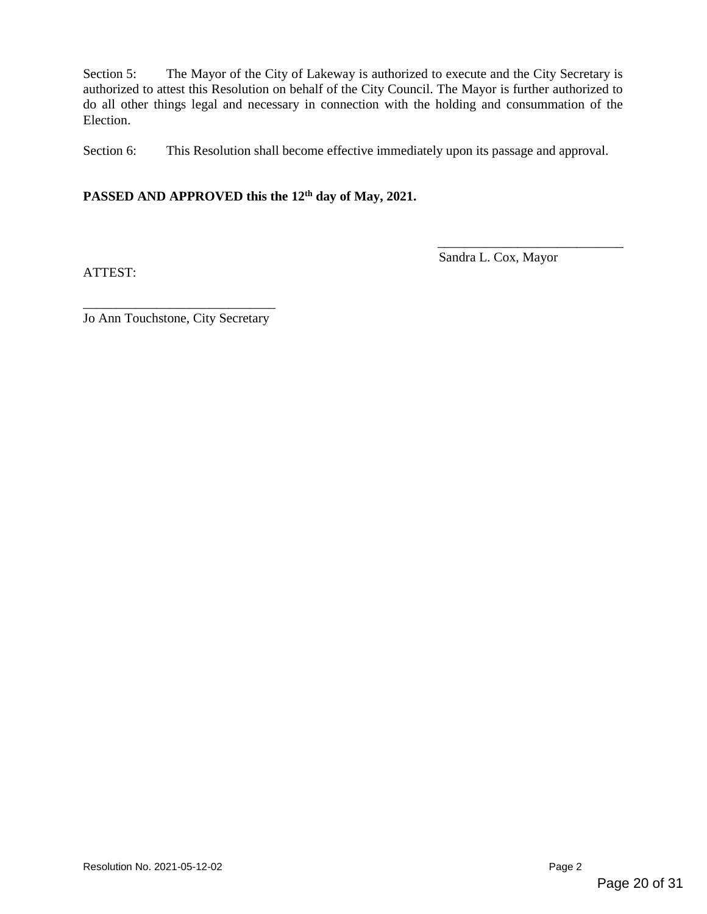Section 5: The Mayor of the City of Lakeway is authorized to execute and the City Secretary is authorized to attest this Resolution on behalf of the City Council. The Mayor is further authorized to do all other things legal and necessary in connection with the holding and consummation of the Election.

Section 6: This Resolution shall become effective immediately upon its passage and approval.

#### **PASSED AND APPROVED this the 12th day of May, 2021.**

ATTEST:

Sandra L. Cox, Mayor

\_\_\_\_\_\_\_\_\_\_\_\_\_\_\_\_\_\_\_\_\_\_\_\_\_\_\_\_

\_\_\_\_\_\_\_\_\_\_\_\_\_\_\_\_\_\_\_\_\_\_\_\_\_\_\_\_\_ Jo Ann Touchstone, City Secretary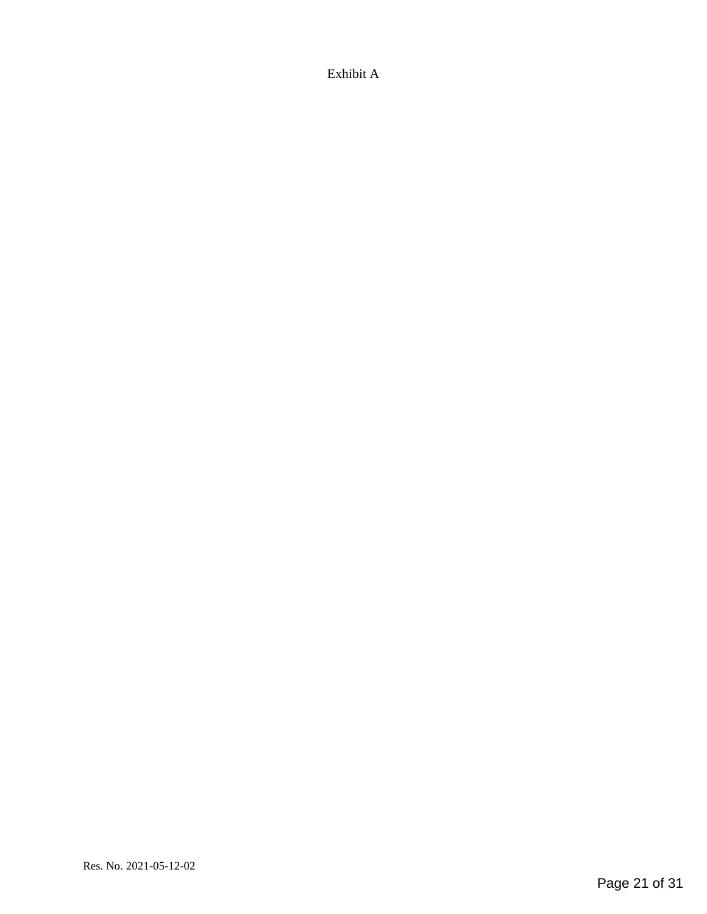Exhibit A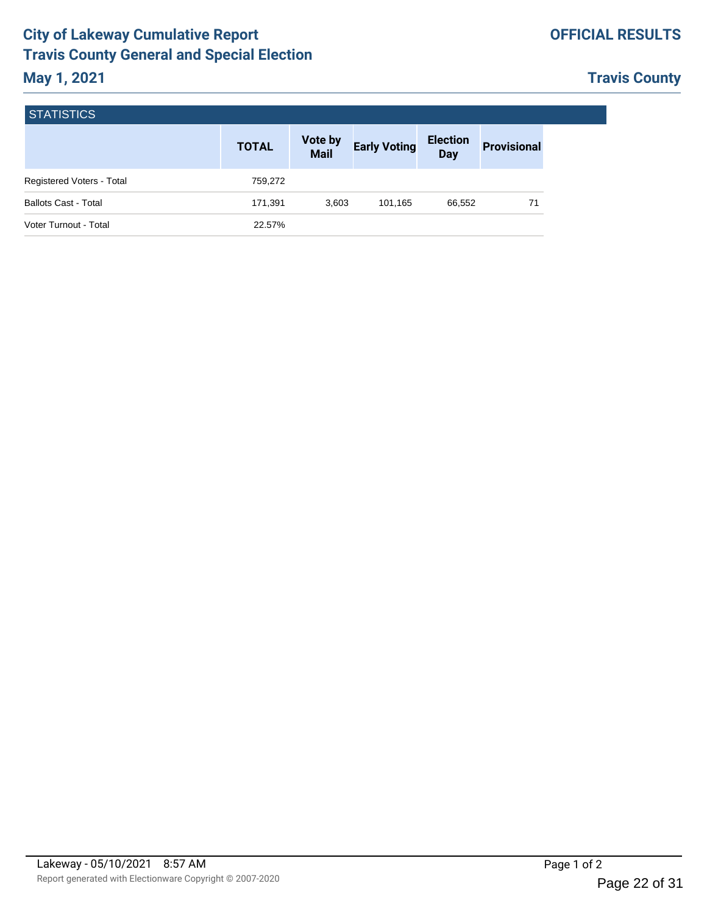## **OFFICIAL RESULTS**

# **Travis County**

<span id="page-21-0"></span>

| <b>STATISTICS</b>           |              |                        |                     |                               |                    |  |  |  |
|-----------------------------|--------------|------------------------|---------------------|-------------------------------|--------------------|--|--|--|
|                             | <b>TOTAL</b> | Vote by<br><b>Mail</b> | <b>Early Voting</b> | <b>Election</b><br><b>Day</b> | <b>Provisional</b> |  |  |  |
| Registered Voters - Total   | 759,272      |                        |                     |                               |                    |  |  |  |
| <b>Ballots Cast - Total</b> | 171,391      | 3,603                  | 101,165             | 66,552                        | 71                 |  |  |  |
| Voter Turnout - Total       | 22.57%       |                        |                     |                               |                    |  |  |  |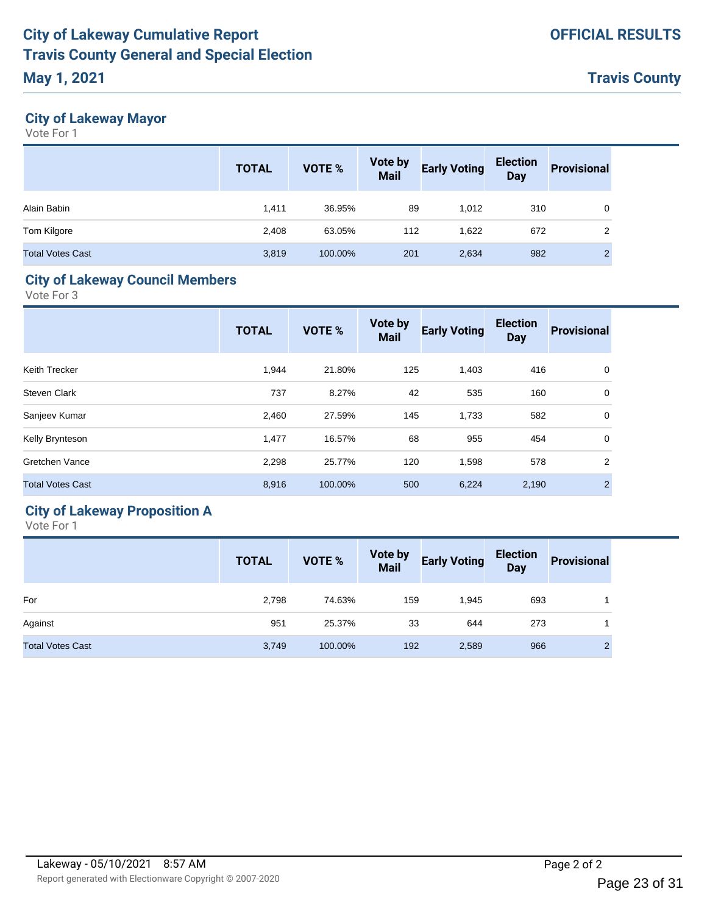# **May 1, 2021**

**Travis County**

## **City of Lakeway Mayor**

Vote For 1

|                         | <b>TOTAL</b> | VOTE %  | <b>Vote by<br/>Mail</b> | <b>Early Voting</b> | <b>Election</b><br><b>Day</b> | <b>Provisional</b> |
|-------------------------|--------------|---------|-------------------------|---------------------|-------------------------------|--------------------|
| Alain Babin             | 1.411        | 36.95%  | 89                      | 1,012               | 310                           | 0                  |
| Tom Kilgore             | 2,408        | 63.05%  | 112                     | 1.622               | 672                           | $\overline{2}$     |
| <b>Total Votes Cast</b> | 3,819        | 100.00% | 201                     | 2,634               | 982                           | ⌒<br>∠             |

## **City of Lakeway Council Members**

Vote For 3

|                         | <b>TOTAL</b> | <b>VOTE %</b> | <b>Vote by</b><br><b>Mail</b> | <b>Early Voting</b> | <b>Election</b><br><b>Day</b> | <b>Provisional</b> |
|-------------------------|--------------|---------------|-------------------------------|---------------------|-------------------------------|--------------------|
| Keith Trecker           | 1,944        | 21.80%        | 125                           | 1,403               | 416                           | 0                  |
| <b>Steven Clark</b>     | 737          | 8.27%         | 42                            | 535                 | 160                           | 0                  |
| Sanjeev Kumar           | 2,460        | 27.59%        | 145                           | 1,733               | 582                           | 0                  |
| Kelly Brynteson         | 1,477        | 16.57%        | 68                            | 955                 | 454                           | $\mathbf 0$        |
| Gretchen Vance          | 2,298        | 25.77%        | 120                           | 1,598               | 578                           | $\overline{2}$     |
| <b>Total Votes Cast</b> | 8,916        | 100.00%       | 500                           | 6,224               | 2,190                         | $\mathcal{P}$      |
|                         |              |               |                               |                     |                               |                    |

# **City of Lakeway Proposition A**

|                         | <b>TOTAL</b> | <b>VOTE %</b> | <b>Vote by<br/>Mail</b> | <b>Early Voting</b> | Election<br>Day | <b>Provisional</b> |
|-------------------------|--------------|---------------|-------------------------|---------------------|-----------------|--------------------|
| For                     | 2,798        | 74.63%        | 159                     | 1,945               | 693             |                    |
| Against                 | 951          | 25.37%        | 33                      | 644                 | 273             |                    |
| <b>Total Votes Cast</b> | 3,749        | 100.00%       | 192                     | 2,589               | 966             | C<br>∠             |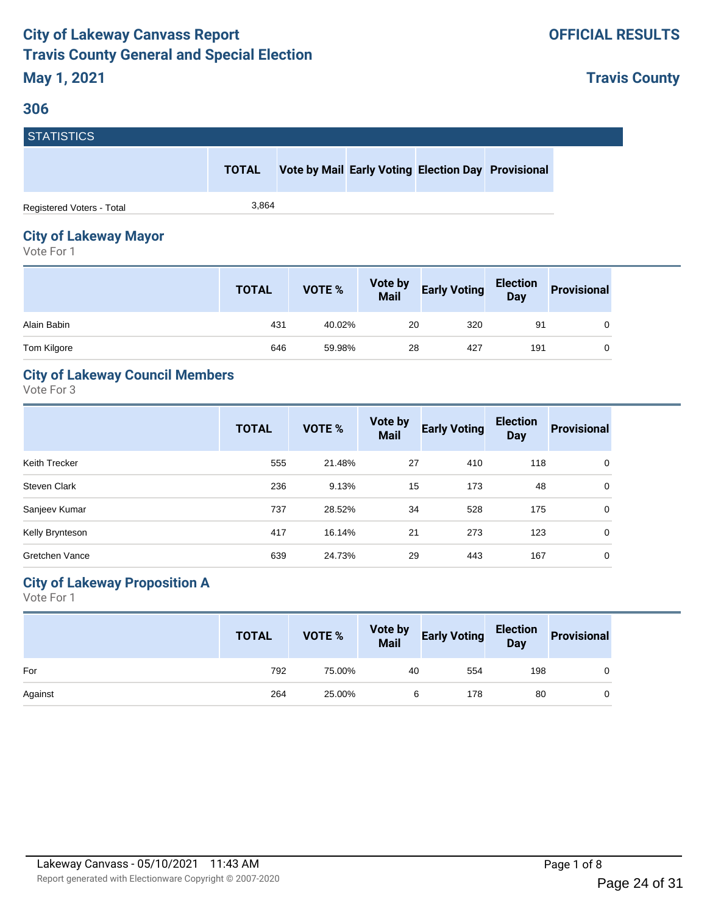#### <span id="page-23-0"></span>**306**

**Travis County**

| <b>STATISTICS</b>         |              |  |                                                    |  |
|---------------------------|--------------|--|----------------------------------------------------|--|
|                           | <b>TOTAL</b> |  | Vote by Mail Early Voting Election Day Provisional |  |
| Registered Voters - Total | 3.864        |  |                                                    |  |

# **City of Lakeway Mayor**

Vote For 1

|             | <b>TOTAL</b> | <b>VOTE %</b> | <b>Vote by<br/>Mail</b> | <b>Early Voting</b> | <b>Election</b><br>Day | <b>Provisional</b> |
|-------------|--------------|---------------|-------------------------|---------------------|------------------------|--------------------|
| Alain Babin | 431          | 40.02%        | 20                      | 320                 | 91                     | 0                  |
| Tom Kilgore | 646          | 59.98%        | 28                      | 427                 | 191                    | 0                  |

## **City of Lakeway Council Members**

Vote For 3

|                       | <b>TOTAL</b> | <b>VOTE %</b> | Vote by<br><b>Mail</b> | <b>Early Voting</b> | <b>Election</b><br><b>Day</b> | <b>Provisional</b> |
|-----------------------|--------------|---------------|------------------------|---------------------|-------------------------------|--------------------|
| Keith Trecker         | 555          | 21.48%        | 27                     | 410                 | 118                           | 0                  |
| <b>Steven Clark</b>   | 236          | 9.13%         | 15                     | 173                 | 48                            | 0                  |
| Sanjeev Kumar         | 737          | 28.52%        | 34                     | 528                 | 175                           | 0                  |
| Kelly Brynteson       | 417          | 16.14%        | 21                     | 273                 | 123                           | 0                  |
| <b>Gretchen Vance</b> | 639          | 24.73%        | 29                     | 443                 | 167                           | $\Omega$           |

## **City of Lakeway Proposition A**

|         | <b>TOTAL</b> | VOTE % |    | Vote by Early Voting Election Provisional |     |  |
|---------|--------------|--------|----|-------------------------------------------|-----|--|
| For     | 792          | 75.00% | 40 | 554                                       | 198 |  |
| Against | 264          | 25.00% | 6  | 178                                       | 80  |  |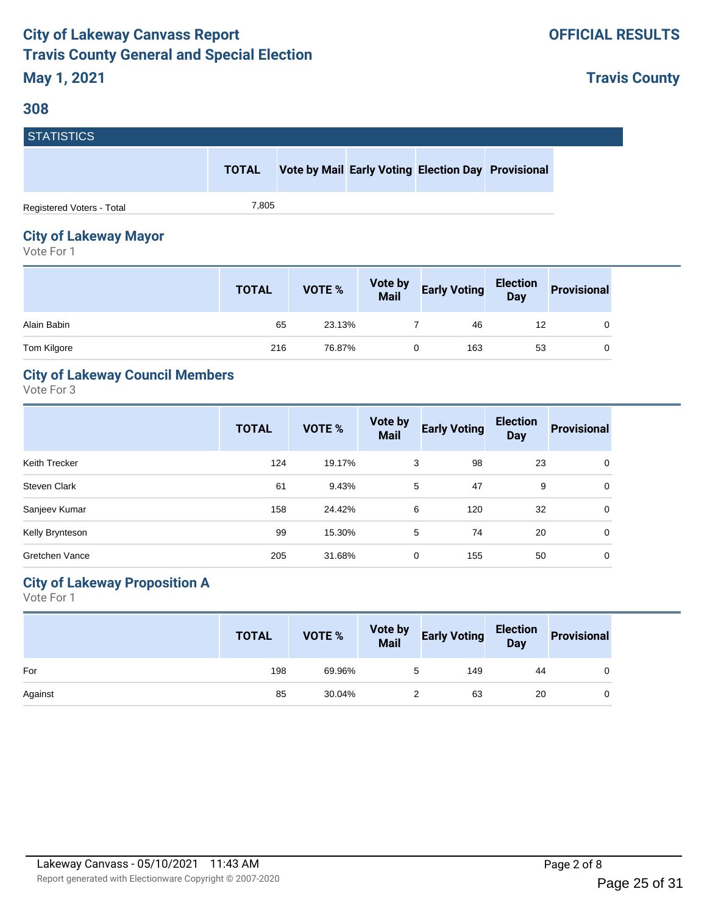#### **308**

**Travis County**

| <b>STATISTICS</b>         |              |  |                                                    |  |
|---------------------------|--------------|--|----------------------------------------------------|--|
|                           | <b>TOTAL</b> |  | Vote by Mail Early Voting Election Day Provisional |  |
| Registered Voters - Total | 7.805        |  |                                                    |  |

# **City of Lakeway Mayor**

Vote For 1

|             | <b>TOTAL</b> | <b>VOTE %</b> | <b>Vote by<br/>Mail</b> | <b>Early Voting</b> | Election<br>Day | <b>Provisional</b> |
|-------------|--------------|---------------|-------------------------|---------------------|-----------------|--------------------|
| Alain Babin | 65           | 23.13%        |                         | 46                  | 12              |                    |
| Tom Kilgore | 216          | 76.87%        |                         | 163                 | 53              |                    |

## **City of Lakeway Council Members**

Vote For 3

|                       | <b>TOTAL</b> | <b>VOTE %</b> | Vote by<br><b>Mail</b> | <b>Early Voting</b> | <b>Election</b><br><b>Day</b> | <b>Provisional</b> |
|-----------------------|--------------|---------------|------------------------|---------------------|-------------------------------|--------------------|
| Keith Trecker         | 124          | 19.17%        | 3                      | 98                  | 23                            | 0                  |
| <b>Steven Clark</b>   | 61           | 9.43%         | 5                      | 47                  | 9                             | 0                  |
| Sanjeev Kumar         | 158          | 24.42%        | 6                      | 120                 | 32                            | 0                  |
| Kelly Brynteson       | 99           | 15.30%        | 5                      | 74                  | 20                            | 0                  |
| <b>Gretchen Vance</b> | 205          | 31.68%        | 0                      | 155                 | 50                            | 0                  |

## **City of Lakeway Proposition A**

|         | <b>TOTAL</b> | VOTE % | Vote by Early Voting Election Provisional |    |  |
|---------|--------------|--------|-------------------------------------------|----|--|
| For     | 198          | 69.96% | 149                                       | 44 |  |
| Against | 85           | 30.04% | 63                                        | 20 |  |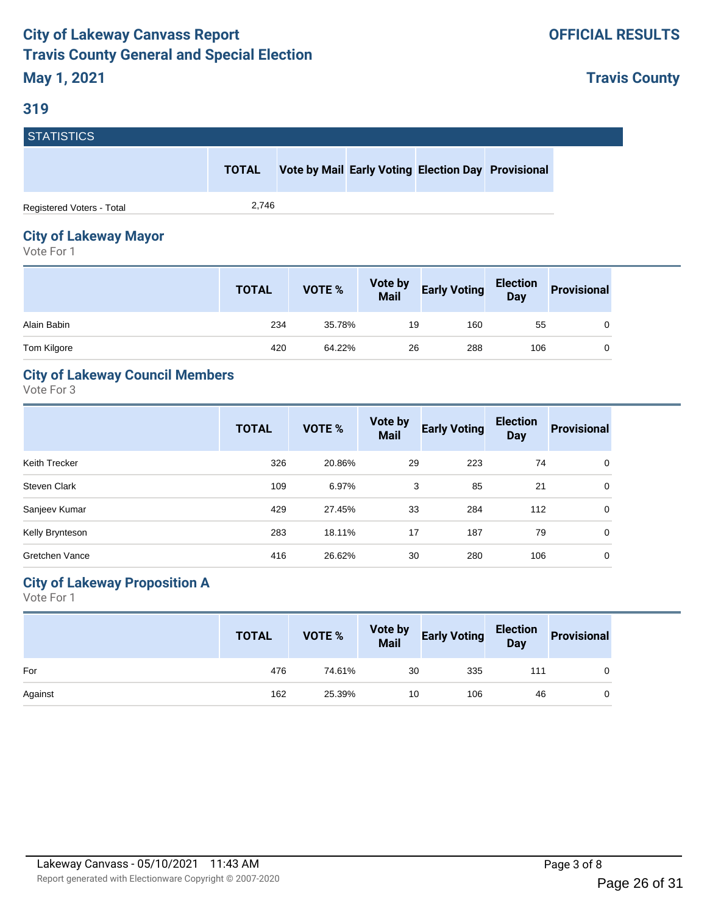**Travis County**

# **STATISTICS**

| 10 11 11 10 11 10 1       |              |                                                    |  |  |
|---------------------------|--------------|----------------------------------------------------|--|--|
|                           | <b>TOTAL</b> | Vote by Mail Early Voting Election Day Provisional |  |  |
| Registered Voters - Total | 2.746        |                                                    |  |  |

## **City of Lakeway Mayor**

Vote For 1

|             | <b>TOTAL</b> | <b>VOTE %</b> | <b>Vote by<br/>Mail</b> | <b>Early Voting</b> | <b>Election</b><br>Day | <b>Provisional</b> |
|-------------|--------------|---------------|-------------------------|---------------------|------------------------|--------------------|
| Alain Babin | 234          | 35.78%        | 19                      | 160                 | 55                     |                    |
| Tom Kilgore | 420          | 64.22%        | 26                      | 288                 | 106                    |                    |

## **City of Lakeway Council Members**

Vote For 3

|                       | <b>TOTAL</b> | <b>VOTE %</b> | <b>Vote by</b><br><b>Mail</b> | <b>Early Voting</b> | <b>Election</b><br><b>Day</b> | <b>Provisional</b> |
|-----------------------|--------------|---------------|-------------------------------|---------------------|-------------------------------|--------------------|
| Keith Trecker         | 326          | 20.86%        | 29                            | 223                 | 74                            | 0                  |
| Steven Clark          | 109          | 6.97%         | 3                             | 85                  | 21                            | 0                  |
| Sanjeev Kumar         | 429          | 27.45%        | 33                            | 284                 | 112                           | 0                  |
| Kelly Brynteson       | 283          | 18.11%        | 17                            | 187                 | 79                            | 0                  |
| <b>Gretchen Vance</b> | 416          | 26.62%        | 30                            | 280                 | 106                           | 0                  |

## **City of Lakeway Proposition A**

|         | <b>TOTAL</b> | VOTE % |    | Vote by Early Voting Election<br>Mail Early Voting Day |     | Provisional |
|---------|--------------|--------|----|--------------------------------------------------------|-----|-------------|
| For     | 476          | 74.61% | 30 | 335                                                    | 111 |             |
| Against | 162          | 25.39% | 10 | 106                                                    | 46  | 0           |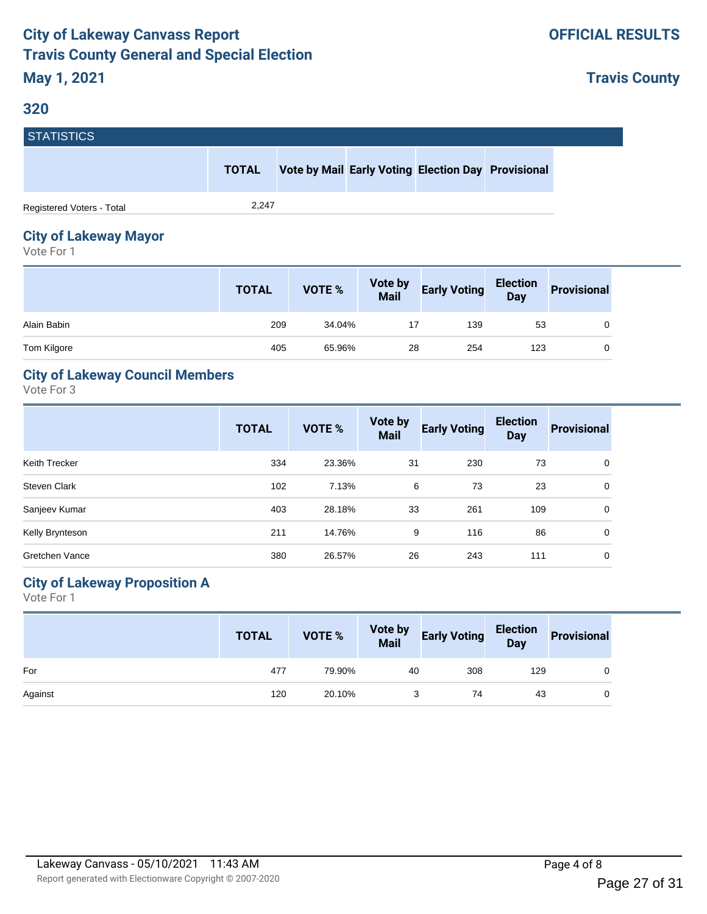#### **320**

**Travis County**

| <b>STATISTICS</b>         |              |  |                                                    |  |
|---------------------------|--------------|--|----------------------------------------------------|--|
|                           | <b>TOTAL</b> |  | Vote by Mail Early Voting Election Day Provisional |  |
| Registered Voters - Total | 2,247        |  |                                                    |  |

# **City of Lakeway Mayor**

Vote For 1

|             | <b>TOTAL</b> | VOTE % | <b>Vote by<br/>Mail</b> | <b>Early Voting</b> | <b>Election</b><br>Day | <b>Provisional</b> |
|-------------|--------------|--------|-------------------------|---------------------|------------------------|--------------------|
| Alain Babin | 209          | 34.04% |                         | 139                 | 53                     |                    |
| Tom Kilgore | 405          | 65.96% | 28                      | 254                 | 123                    |                    |

## **City of Lakeway Council Members**

Vote For 3

|                       | <b>TOTAL</b> | <b>VOTE %</b> | Vote by<br><b>Mail</b> | <b>Early Voting</b> | <b>Election</b><br><b>Day</b> | <b>Provisional</b> |
|-----------------------|--------------|---------------|------------------------|---------------------|-------------------------------|--------------------|
| Keith Trecker         | 334          | 23.36%        | 31                     | 230                 | 73                            | 0                  |
| Steven Clark          | 102          | 7.13%         | 6                      | 73                  | 23                            | 0                  |
| Sanjeev Kumar         | 403          | 28.18%        | 33                     | 261                 | 109                           | 0                  |
| Kelly Brynteson       | 211          | 14.76%        | 9                      | 116                 | 86                            | 0                  |
| <b>Gretchen Vance</b> | 380          | 26.57%        | 26                     | 243                 | 111                           | 0                  |

## **City of Lakeway Proposition A**

|         | <b>TOTAL</b> | VOTE % |    | Vote by Early Voting Election Provisional |     |  |
|---------|--------------|--------|----|-------------------------------------------|-----|--|
| For     | 477          | 79.90% | 40 | 308                                       | 129 |  |
| Against | 120          | 20.10% |    | 74                                        | 43  |  |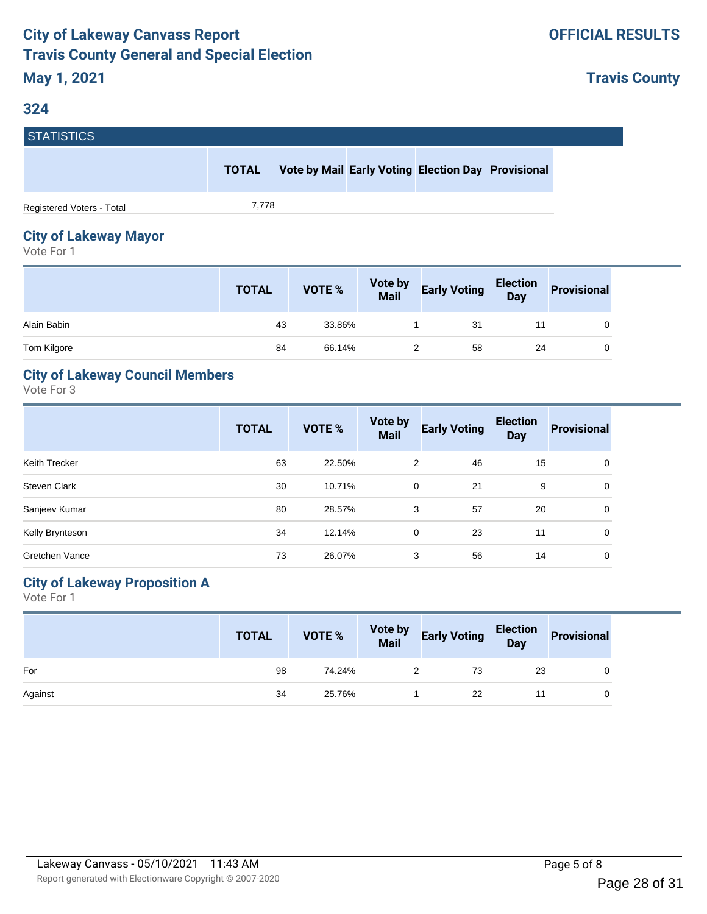**Travis County**

# **STATISTICS**

| --------------            |       |                                                    |  |  |
|---------------------------|-------|----------------------------------------------------|--|--|
|                           | TOTAL | Vote by Mail Early Voting Election Day Provisional |  |  |
| Registered Voters - Total | 7.778 |                                                    |  |  |

## **City of Lakeway Mayor**

Vote For 1

|             | <b>TOTAL</b> | <b>VOTE %</b> | <b>Vote by<br/>Mail</b> | <b>Early Voting</b> | <b>Election</b><br>Day | <b>Provisional</b> |
|-------------|--------------|---------------|-------------------------|---------------------|------------------------|--------------------|
| Alain Babin | 43           | 33.86%        |                         | 31                  |                        |                    |
| Tom Kilgore | 84           | 66.14%        |                         | 58                  | 24                     |                    |

## **City of Lakeway Council Members**

Vote For 3

|                     | <b>TOTAL</b> | <b>VOTE %</b> | Vote by<br><b>Mail</b> | <b>Early Voting</b> | <b>Election</b><br><b>Day</b> | <b>Provisional</b> |
|---------------------|--------------|---------------|------------------------|---------------------|-------------------------------|--------------------|
| Keith Trecker       | 63           | 22.50%        | 2                      | 46                  | 15                            | 0                  |
| <b>Steven Clark</b> | 30           | 10.71%        | 0                      | 21                  | 9                             | 0                  |
| Sanjeev Kumar       | 80           | 28.57%        | 3                      | 57                  | 20                            | 0                  |
| Kelly Brynteson     | 34           | 12.14%        | 0                      | 23                  | 11                            | 0                  |
| Gretchen Vance      | 73           | 26.07%        | 3                      | 56                  | 14                            | 0                  |

## **City of Lakeway Proposition A**

|         | <b>TOTAL</b> |        | VOTE % Vote by Early Voting Election Provisional |    |  |
|---------|--------------|--------|--------------------------------------------------|----|--|
| For     | 98           | 74.24% | 73                                               | 23 |  |
| Against | 34           | 25.76% | -22                                              |    |  |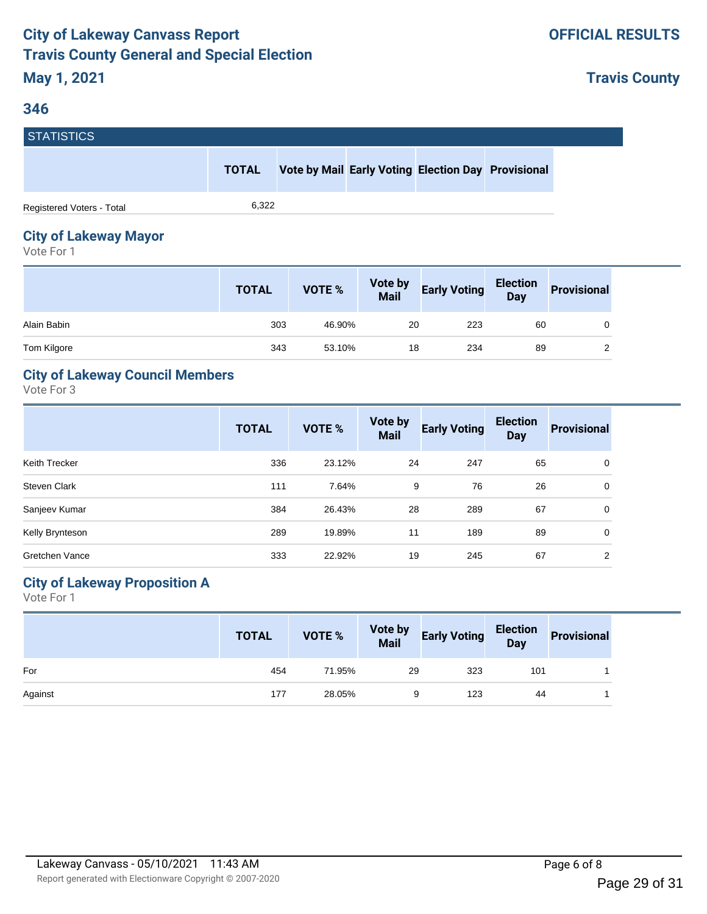**Travis County**

# **STATISTICS**

**TOTAL Vote by Mail Early Voting Election Day Provisional**

Registered Voters - Total 6,322

# **City of Lakeway Mayor**

Vote For 1

|             | <b>TOTAL</b> | VOTE % | <b>Vote by<br/>Mail</b> | <b>Early Voting</b> | Election<br>Day | <b>Provisional</b> |
|-------------|--------------|--------|-------------------------|---------------------|-----------------|--------------------|
| Alain Babin | 303          | 46.90% | 20                      | 223                 | 60              |                    |
| Tom Kilgore | 343          | 53.10% | 18                      | 234                 | 89              |                    |

## **City of Lakeway Council Members**

Vote For 3

|                     | <b>TOTAL</b> | <b>VOTE %</b> | Vote by<br><b>Mail</b> | <b>Early Voting</b> | <b>Election</b><br><b>Day</b> | <b>Provisional</b> |
|---------------------|--------------|---------------|------------------------|---------------------|-------------------------------|--------------------|
| Keith Trecker       | 336          | 23.12%        | 24                     | 247                 | 65                            | 0                  |
| <b>Steven Clark</b> | 111          | 7.64%         | 9                      | 76                  | 26                            | 0                  |
| Sanjeev Kumar       | 384          | 26.43%        | 28                     | 289                 | 67                            | $\Omega$           |
| Kelly Brynteson     | 289          | 19.89%        | 11                     | 189                 | 89                            | 0                  |
| Gretchen Vance      | 333          | 22.92%        | 19                     | 245                 | 67                            | 2                  |

## **City of Lakeway Proposition A**

|         | <b>TOTAL</b> | VOTE % |    | Vote by Early Voting Election Provisional |     |  |
|---------|--------------|--------|----|-------------------------------------------|-----|--|
| For     | 454          | 71.95% | 29 | 323                                       | 101 |  |
| Against | 177          | 28.05% |    | 123                                       | 44  |  |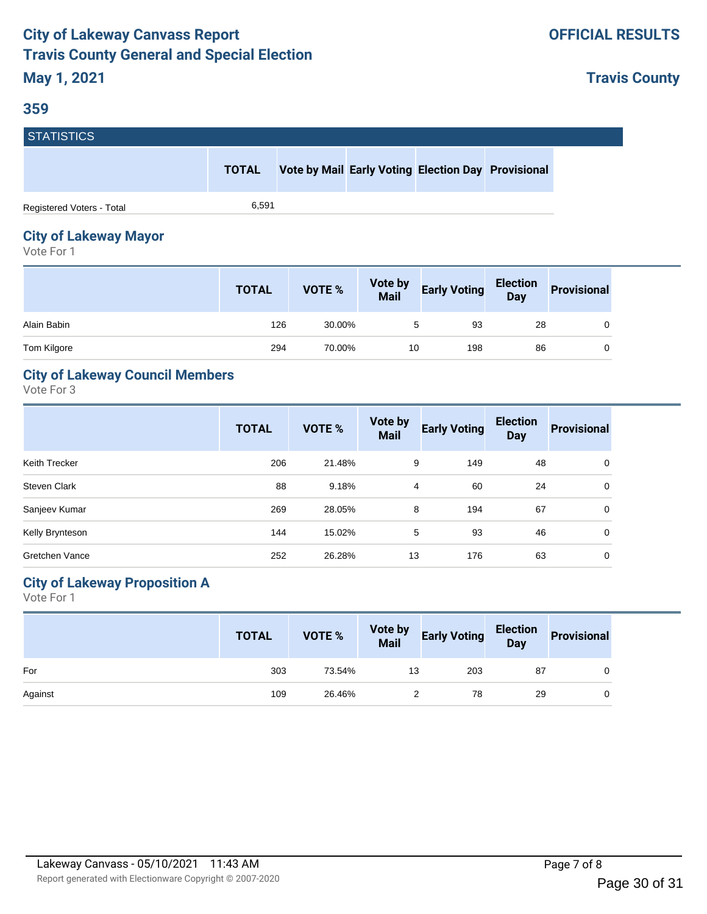#### **359**

**Travis County**

| <b>STATISTICS</b>         |              |                                                    |  |  |
|---------------------------|--------------|----------------------------------------------------|--|--|
|                           | <b>TOTAL</b> | Vote by Mail Early Voting Election Day Provisional |  |  |
| Registered Voters - Total | 6.591        |                                                    |  |  |

# **City of Lakeway Mayor**

Vote For 1

|             | <b>TOTAL</b> | <b>VOTE %</b> | <b>Vote by<br/>Mail</b> | <b>Early Voting</b> | <b>Election</b><br>Day | <b>Provisional</b> |
|-------------|--------------|---------------|-------------------------|---------------------|------------------------|--------------------|
| Alain Babin | 126          | 30.00%        | 5                       | 93                  | 28                     |                    |
| Tom Kilgore | 294          | 70.00%        | 10                      | 198                 | 86                     |                    |

## **City of Lakeway Council Members**

Vote For 3

|                     | <b>TOTAL</b> | <b>VOTE %</b> | Vote by<br><b>Mail</b> | <b>Early Voting</b> | <b>Election</b><br><b>Day</b> | <b>Provisional</b> |
|---------------------|--------------|---------------|------------------------|---------------------|-------------------------------|--------------------|
| Keith Trecker       | 206          | 21.48%        | 9                      | 149                 | 48                            | 0                  |
| <b>Steven Clark</b> | 88           | 9.18%         | 4                      | 60                  | 24                            | 0                  |
| Sanjeev Kumar       | 269          | 28.05%        | 8                      | 194                 | 67                            | 0                  |
| Kelly Brynteson     | 144          | 15.02%        | 5                      | 93                  | 46                            | 0                  |
| Gretchen Vance      | 252          | 26.28%        | 13                     | 176                 | 63                            | 0                  |

## **City of Lakeway Proposition A**

|         | <b>TOTAL</b> | VOTE % |    | Vote by Early Voting Election Provisional |    |  |
|---------|--------------|--------|----|-------------------------------------------|----|--|
| For     | 303          | 73.54% | 13 | 203                                       | 87 |  |
| Against | 109          | 26.46% |    | 78                                        | 29 |  |